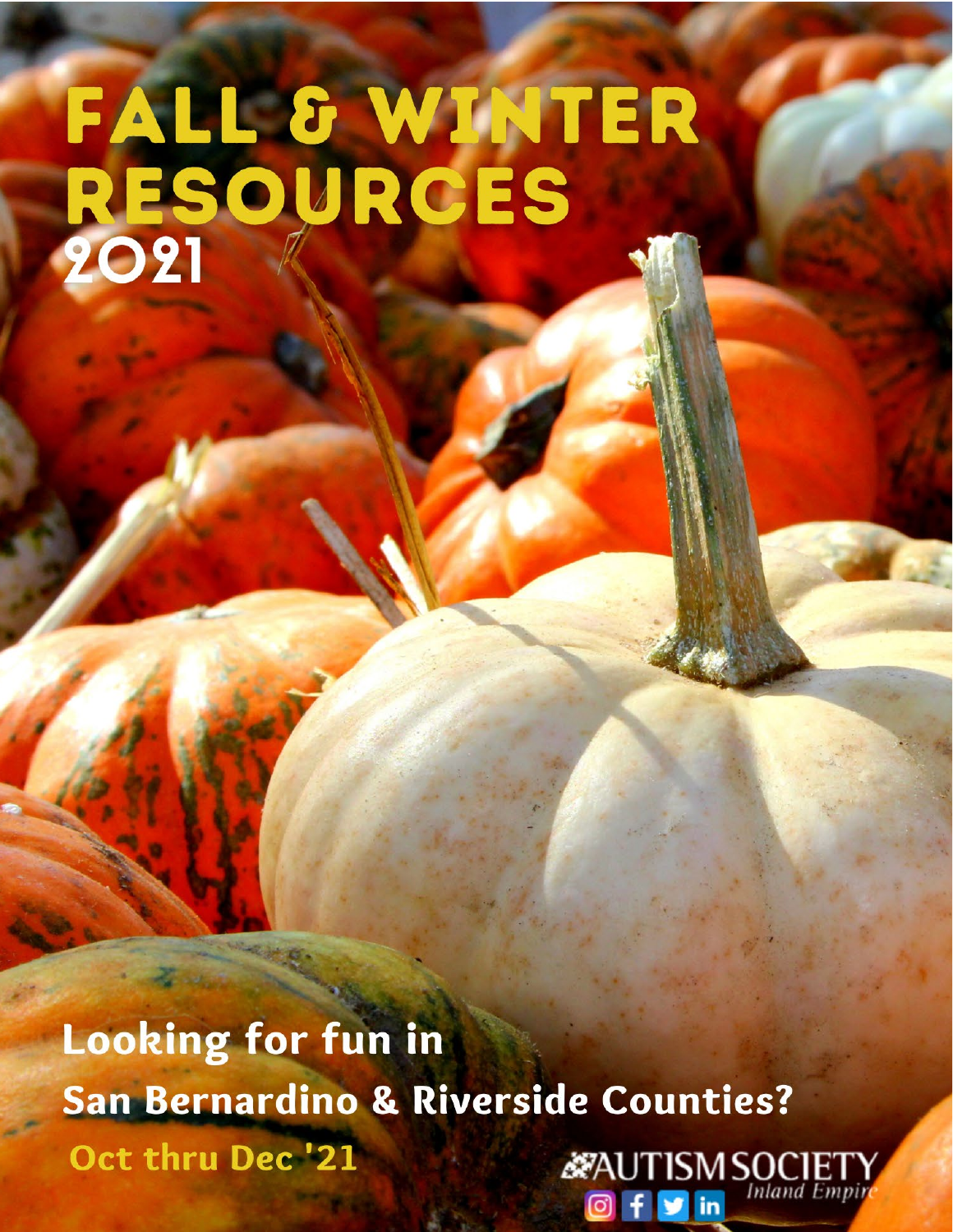# FALL & WINTER<br>RESOURCES

**Looking for fun in** San Bernardino & Riverside Counties? Oct thru Dec<sup>'</sup>21 **Example 19** AUTISM SOCIETY

**Of** in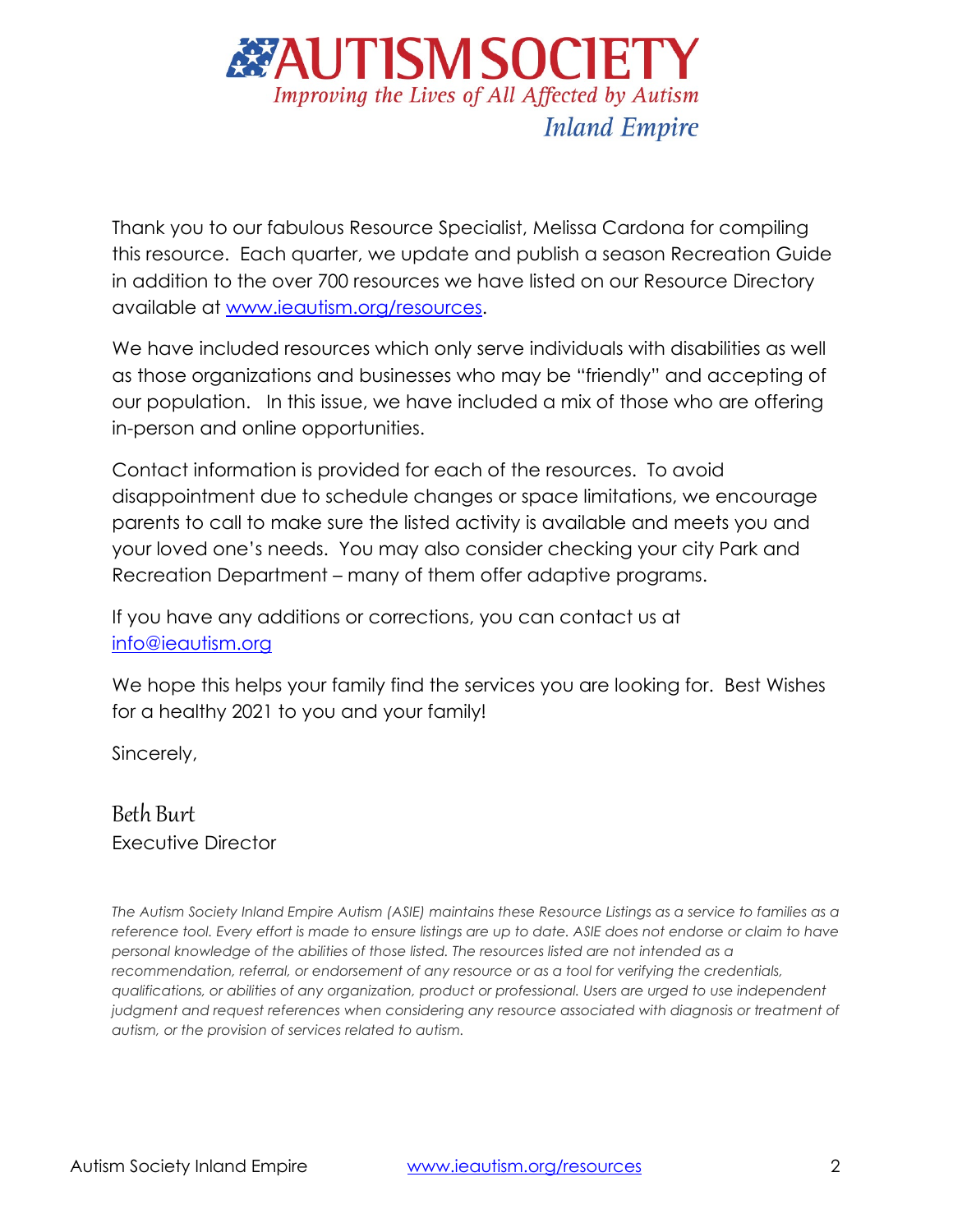

Thank you to our fabulous Resource Specialist, Melissa Cardona for compiling this resource. Each quarter, we update and publish a season Recreation Guide in addition to the over 700 resources we have listed on our Resource Directory available at [www.ieautism.org/resources.](http://www.ieautism.org/resources)

We have included resources which only serve individuals with disabilities as well as those organizations and businesses who may be "friendly" and accepting of our population. In this issue, we have included a mix of those who are offering in-person and online opportunities.

Contact information is provided for each of the resources. To avoid disappointment due to schedule changes or space limitations, we encourage parents to call to make sure the listed activity is available and meets you and your loved one's needs. You may also consider checking your city Park and Recreation Department – many of them offer adaptive programs.

If you have any additions or corrections, you can contact us at [info@ieautism.org](mailto:info@ieautism.org)

We hope this helps your family find the services you are looking for. Best Wishes for a healthy 2021 to you and your family!

Sincerely,

Beth Burt Executive Director

*The Autism Society Inland Empire Autism (ASIE) maintains these Resource Listings as a service to families as a*  reference tool. Every effort is made to ensure listings are up to date. ASIE does not endorse or claim to have *personal knowledge of the abilities of those listed. The resources listed are not intended as a recommendation, referral, or endorsement of any resource or as a tool for verifying the credentials, qualifications, or abilities of any organization, product or professional. Users are urged to use independent judgment and request references when considering any resource associated with diagnosis or treatment of autism, or the provision of services related to autism.*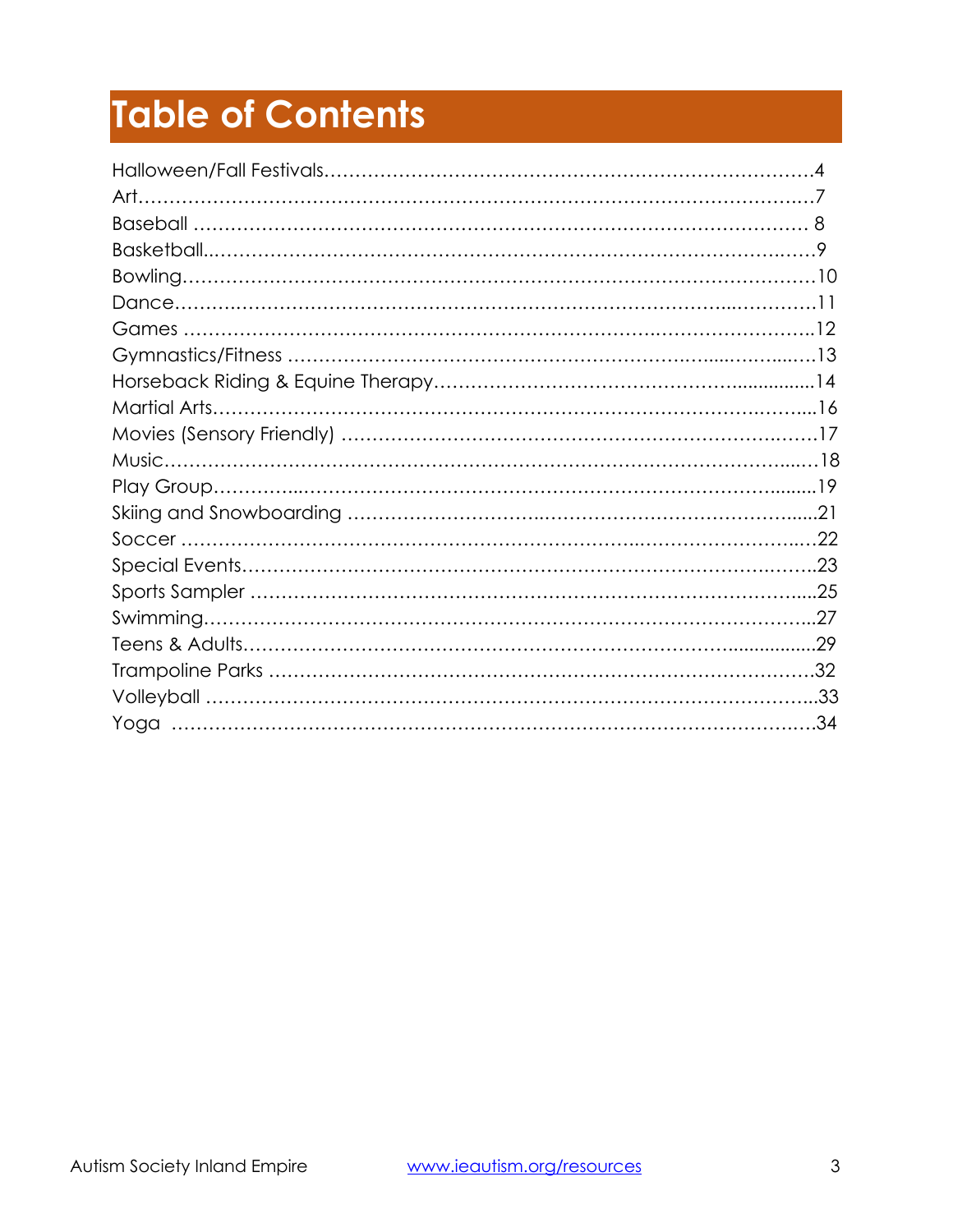# **Table of Contents**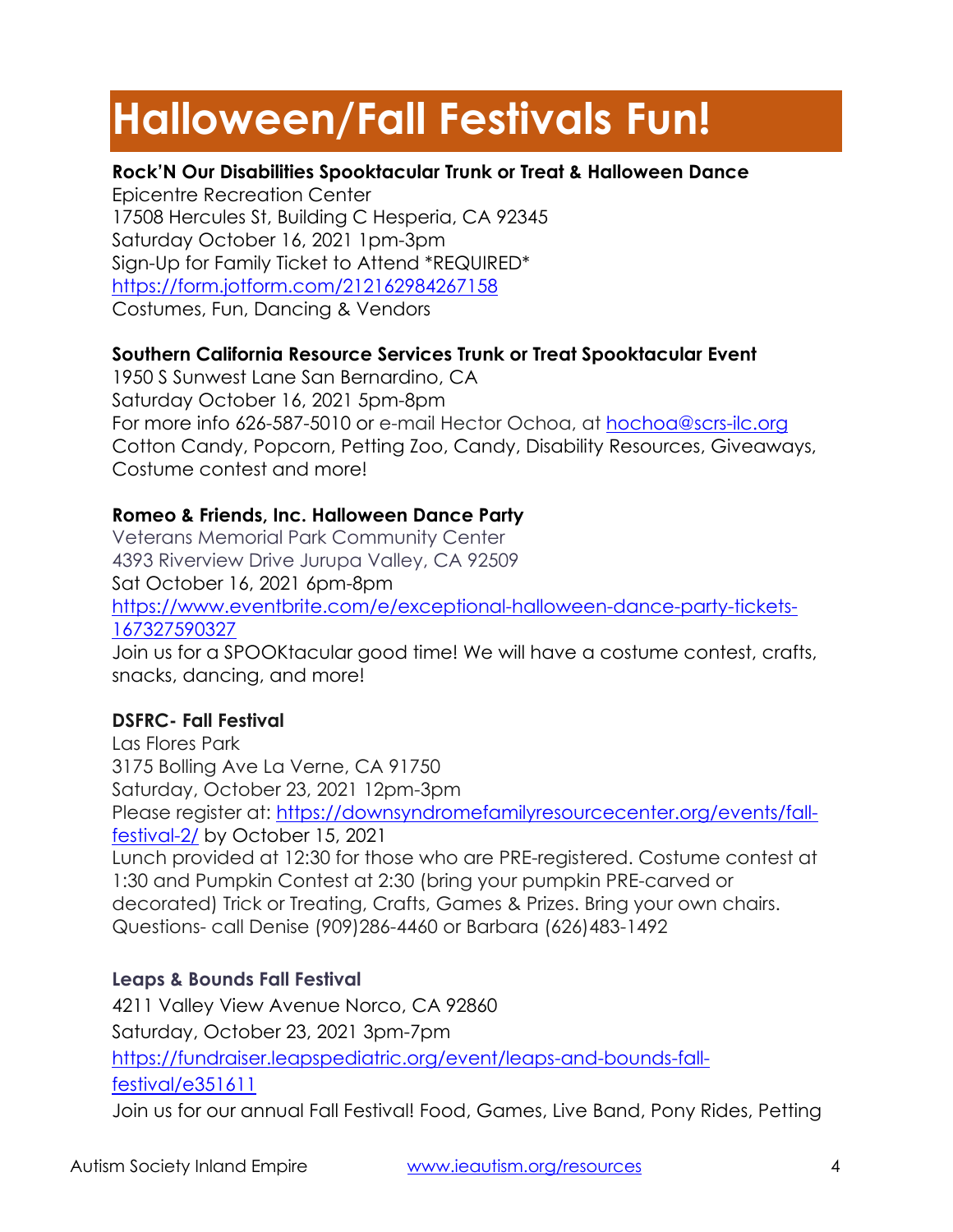# **Halloween/Fall Festivals Fun!**

# **Rock'N Our Disabilities Spooktacular Trunk or Treat & Halloween Dance**

Epicentre Recreation Center 17508 Hercules St, Building C Hesperia, CA 92345 Saturday October 16, 2021 1pm-3pm Sign-Up for Family Ticket to Attend \*REQUIRED\* <https://form.jotform.com/212162984267158> Costumes, Fun, Dancing & Vendors

# **Southern California Resource Services Trunk or Treat Spooktacular Event**

1950 S Sunwest Lane San Bernardino, CA Saturday October 16, 2021 5pm-8pm For more info 626-587-5010 or e-mail Hector Ochoa, at [hochoa@scrs-ilc.org](mailto:hochoa@scrs-ilc.org) Cotton Candy, Popcorn, Petting Zoo, Candy, Disability Resources, Giveaways, Costume contest and more!

# **Romeo & Friends, Inc. Halloween Dance Party**

Veterans Memorial Park Community Center 4393 Riverview Drive Jurupa Valley, CA 92509 Sat October 16, 2021 6pm-8pm [https://www.eventbrite.com/e/exceptional-halloween-dance-party-tickets-](https://www.eventbrite.com/e/exceptional-halloween-dance-party-tickets-167327590327)[167327590327](https://www.eventbrite.com/e/exceptional-halloween-dance-party-tickets-167327590327) Join us for a SPOOKtacular good time! We will have a costume contest, crafts,

snacks, dancing, and more!

# **DSFRC- Fall Festival**

Las Flores Park 3175 Bolling Ave La Verne, CA 91750 Saturday, October 23, 2021 12pm-3pm Please register at: [https://downsyndromefamilyresourcecenter.org/events/fall](https://downsyndromefamilyresourcecenter.org/events/fall-festival-2/)[festival-2/](https://downsyndromefamilyresourcecenter.org/events/fall-festival-2/) by October 15, 2021 Lunch provided at 12:30 for those who are PRE-registered. Costume contest at 1:30 and Pumpkin Contest at 2:30 (bring your pumpkin PRE-carved or decorated) Trick or Treating, Crafts, Games & Prizes. Bring your own chairs. Questions- call Denise (909)286-4460 or Barbara (626)483-1492

# **Leaps & Bounds Fall Festival**

4211 Valley View Avenue Norco, CA 92860 Saturday, October 23, 2021 3pm-7pm [https://fundraiser.leapspediatric.org/event/leaps-and-bounds-fall](https://fundraiser.leapspediatric.org/event/leaps-and-bounds-fall-festival/e351611)[festival/e351611](https://fundraiser.leapspediatric.org/event/leaps-and-bounds-fall-festival/e351611) Join us for our annual Fall Festival! Food, Games, Live Band, Pony Rides, Petting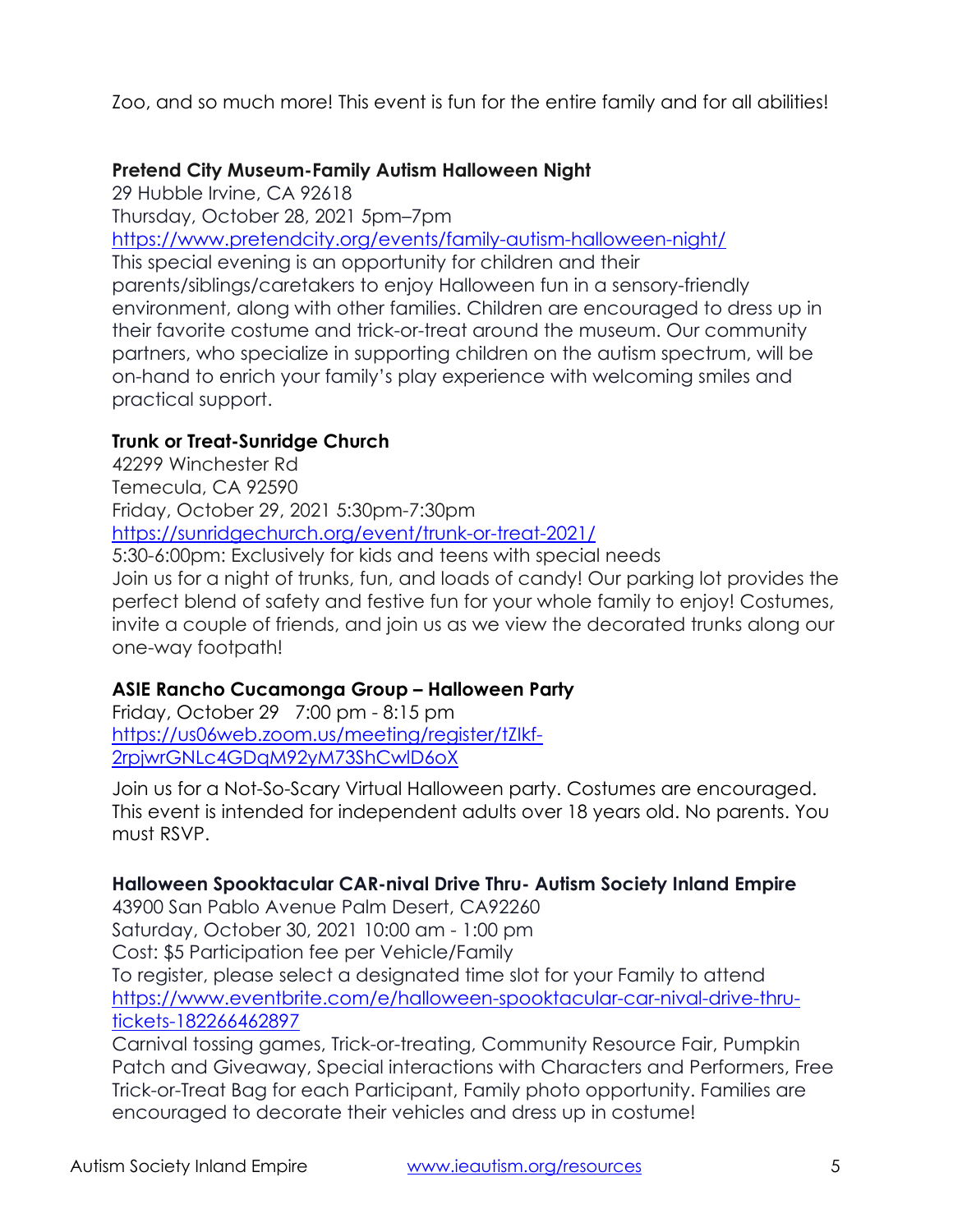Zoo, and so much more! This event is fun for the entire family and for all abilities!

# **Pretend City Museum-Family Autism Halloween Night**

29 Hubble Irvine, CA 92618 Thursday, October 28, 2021 5pm–7pm <https://www.pretendcity.org/events/family-autism-halloween-night/> This special evening is an opportunity for children and their parents/siblings/caretakers to enjoy Halloween fun in a sensory-friendly environment, along with other families. Children are encouraged to dress up in their favorite costume and trick-or-treat around the museum. Our community partners, who specialize in supporting children on the autism spectrum, will be on-hand to enrich your family's play experience with welcoming smiles and practical support.

# **Trunk or Treat-Sunridge Church**

42299 Winchester Rd Temecula, CA 92590 Friday, October 29, 2021 5:30pm-7:30pm <https://sunridgechurch.org/event/trunk-or-treat-2021/> 5:30-6:00pm: Exclusively for kids and teens with special needs

Join us for a night of trunks, fun, and loads of candy! Our parking lot provides the perfect blend of safety and festive fun for your whole family to enjoy! Costumes, invite a couple of friends, and join us as we view the decorated trunks along our one-way footpath!

# **ASIE Rancho Cucamonga Group – Halloween Party**

Friday, October 29 7:00 pm - 8:15 pm [https://us06web.zoom.us/meeting/register/tZIkf-](https://us06web.zoom.us/meeting/register/tZIkf-2rpjwrGNLc4GDqM92yM73ShCwlD6oX)[2rpjwrGNLc4GDqM92yM73ShCwlD6oX](https://us06web.zoom.us/meeting/register/tZIkf-2rpjwrGNLc4GDqM92yM73ShCwlD6oX)

Join us for a Not-So-Scary Virtual Halloween party. Costumes are encouraged. This event is intended for independent adults over 18 years old. No parents. You must RSVP.

# **Halloween Spooktacular CAR-nival Drive Thru- Autism Society Inland Empire**

43900 San Pablo Avenue Palm Desert, CA92260 Saturday, October 30, 2021 10:00 am - 1:00 pm Cost: \$5 Participation fee per Vehicle/Family To register, please select a designated time slot for your Family to attend [https://www.eventbrite.com/e/halloween-spooktacular-car-nival-drive-thru](https://www.eventbrite.com/e/halloween-spooktacular-car-nival-drive-thru-tickets-182266462897)[tickets-182266462897](https://www.eventbrite.com/e/halloween-spooktacular-car-nival-drive-thru-tickets-182266462897)

Carnival tossing games, Trick-or-treating, Community Resource Fair, Pumpkin Patch and Giveaway, Special interactions with Characters and Performers, Free Trick-or-Treat Bag for each Participant, Family photo opportunity. Families are encouraged to decorate their vehicles and dress up in costume!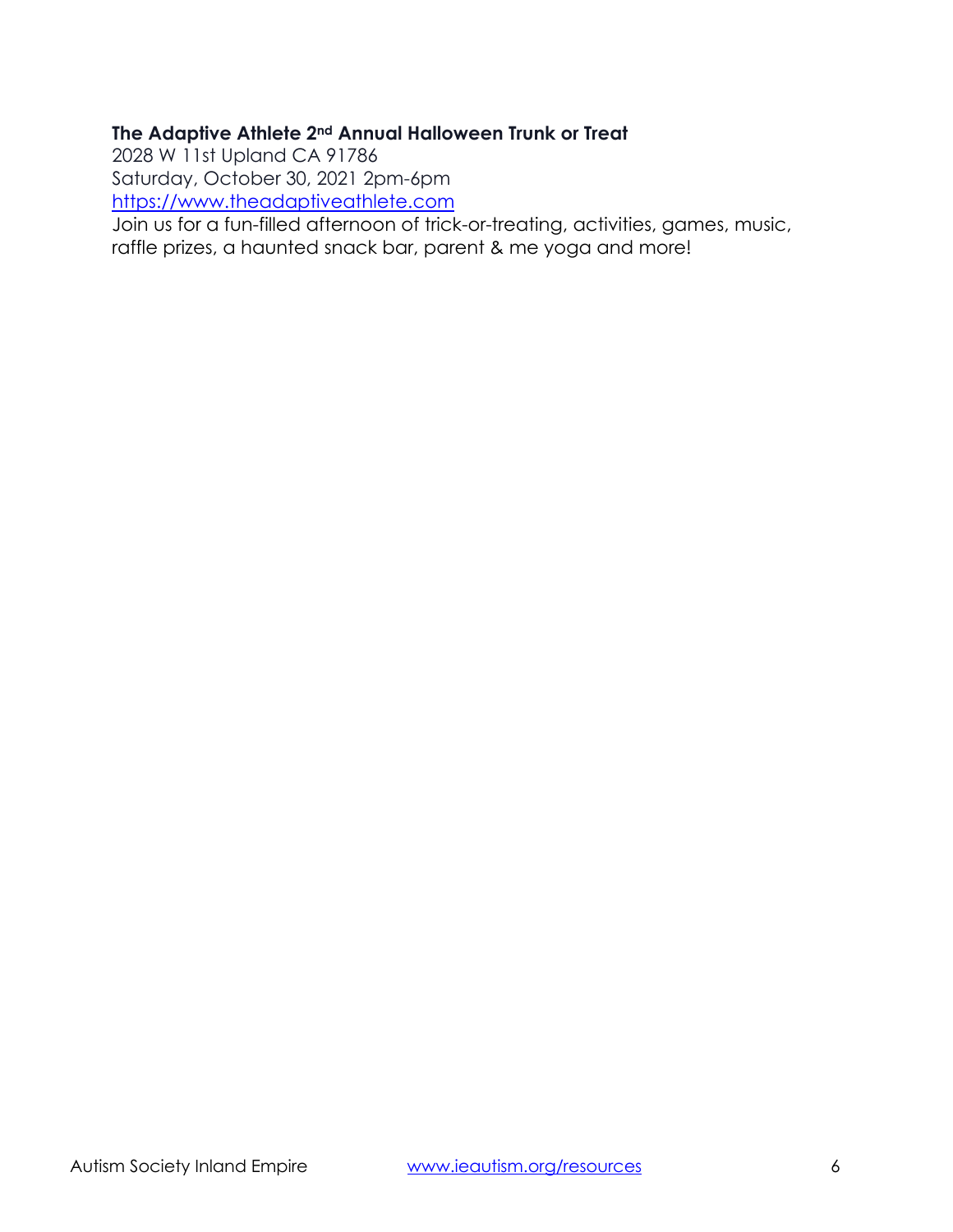# **The Adaptive Athlete 2nd Annual Halloween Trunk or Treat**

2028 W 11st Upland CA 91786

Saturday, October 30, 2021 2pm-6pm

[https://www.theadaptiveathlete.com](https://www.theadaptiveathlete.com/)

Join us for a fun-filled afternoon of trick-or-treating, activities, games, music, raffle prizes, a haunted snack bar, parent & me yoga and more!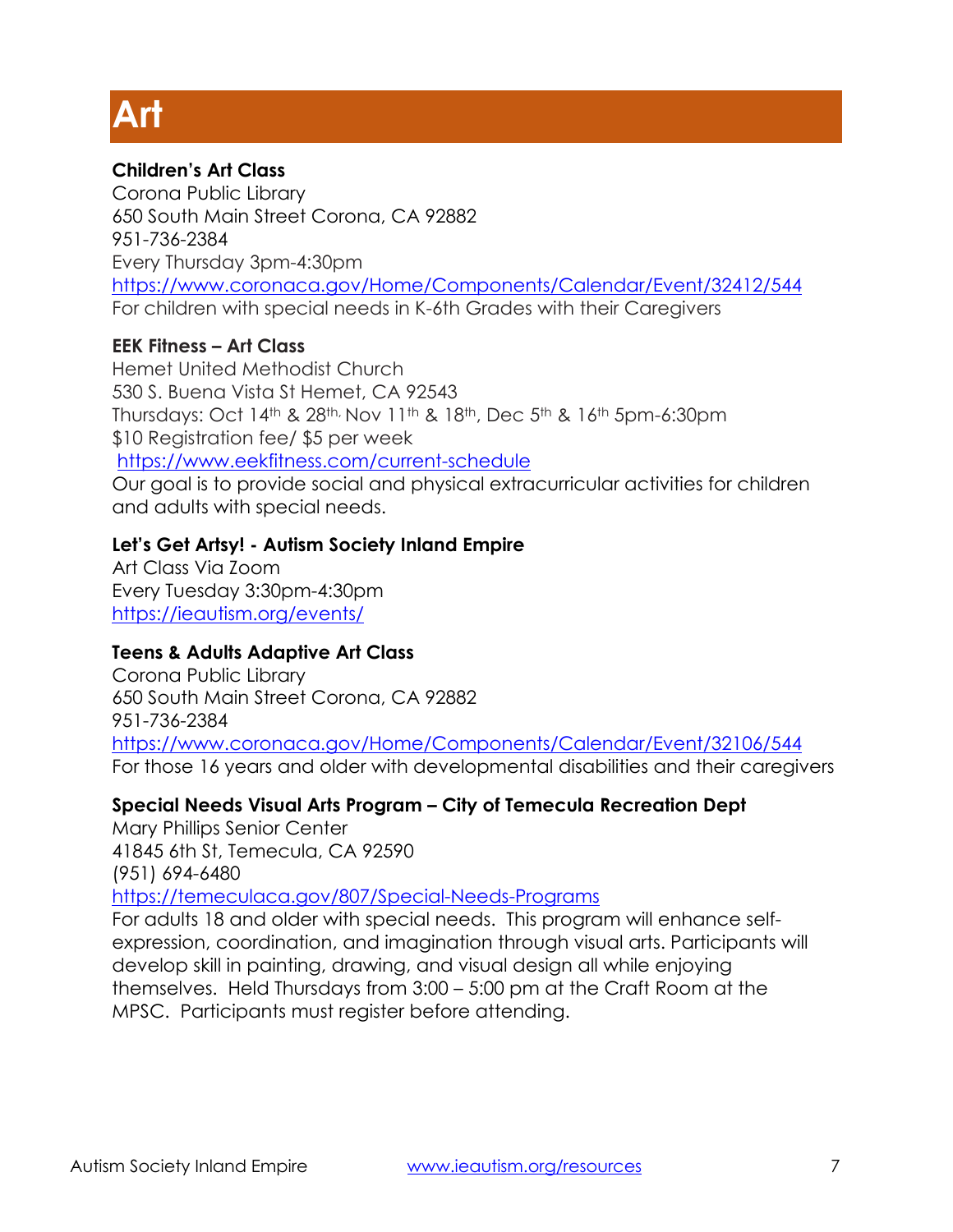# **Art**

# **Children's Art Class**

Corona Public Library 650 South Main Street Corona, CA 92882 951-736-2384 Every Thursday 3pm-4:30pm <https://www.coronaca.gov/Home/Components/Calendar/Event/32412/544> For children with special needs in K-6th Grades with their Caregivers

# **EEK Fitness – Art Class**

Hemet United Methodist Church 530 S. Buena Vista St Hemet, CA 92543 Thursdays: Oct 14th & 28th, Nov 11th & 18th, Dec 5th & 16th 5pm-6:30pm \$10 Registration fee/ \$5 per week

<https://www.eekfitness.com/current-schedule>

Our goal is to provide social and physical extracurricular activities for children and adults with special needs.

# **Let's Get Artsy! - Autism Society Inland Empire**

Art Class Via Zoom Every Tuesday 3:30pm-4:30pm <https://ieautism.org/events/>

# **Teens & Adults Adaptive Art Class**

Corona Public Library 650 South Main Street Corona, CA 92882 951-736-2384 <https://www.coronaca.gov/Home/Components/Calendar/Event/32106/544> For those 16 years and older with developmental disabilities and their caregivers

# **Special Needs Visual Arts Program – City of Temecula Recreation Dept**

Mary Phillips Senior Center 41845 6th St, Temecula, CA 92590

(951) 694-6480

#### <https://temeculaca.gov/807/Special-Needs-Programs>

For adults 18 and older with special needs. This program will enhance selfexpression, coordination, and imagination through visual arts. Participants will develop skill in painting, drawing, and visual design all while enjoying themselves. Held Thursdays from 3:00 – 5:00 pm at the Craft Room at the MPSC. Participants must register before attending.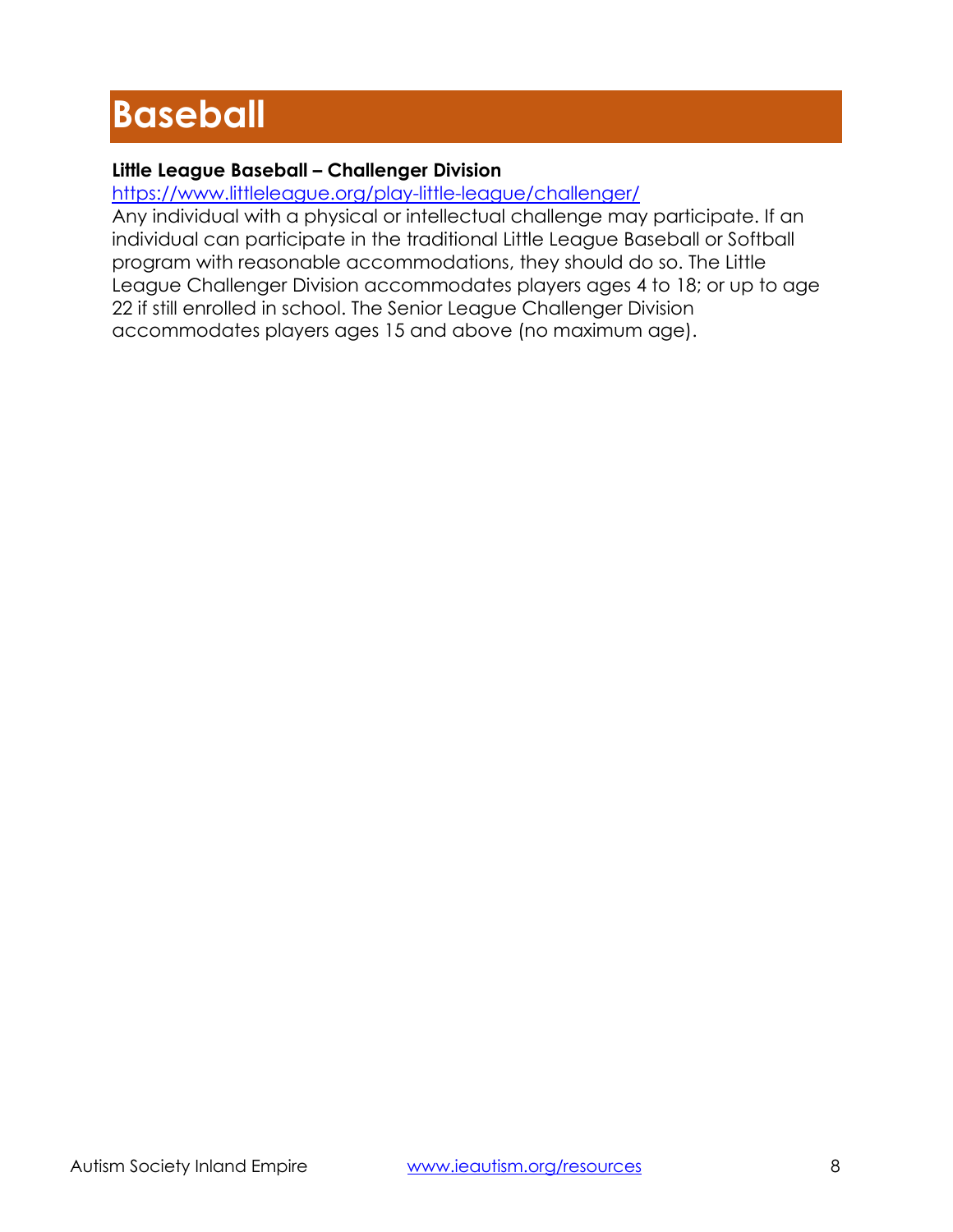# **Baseball**

# **Little League Baseball – Challenger Division**

<https://www.littleleague.org/play-little-league/challenger/>

Any individual with a physical or intellectual challenge may participate. If an individual can participate in the traditional Little League Baseball or Softball program with reasonable accommodations, they should do so. The Little League Challenger Division accommodates players ages 4 to 18; or up to age 22 if still enrolled in school. The Senior League Challenger Division accommodates players ages 15 and above (no maximum age).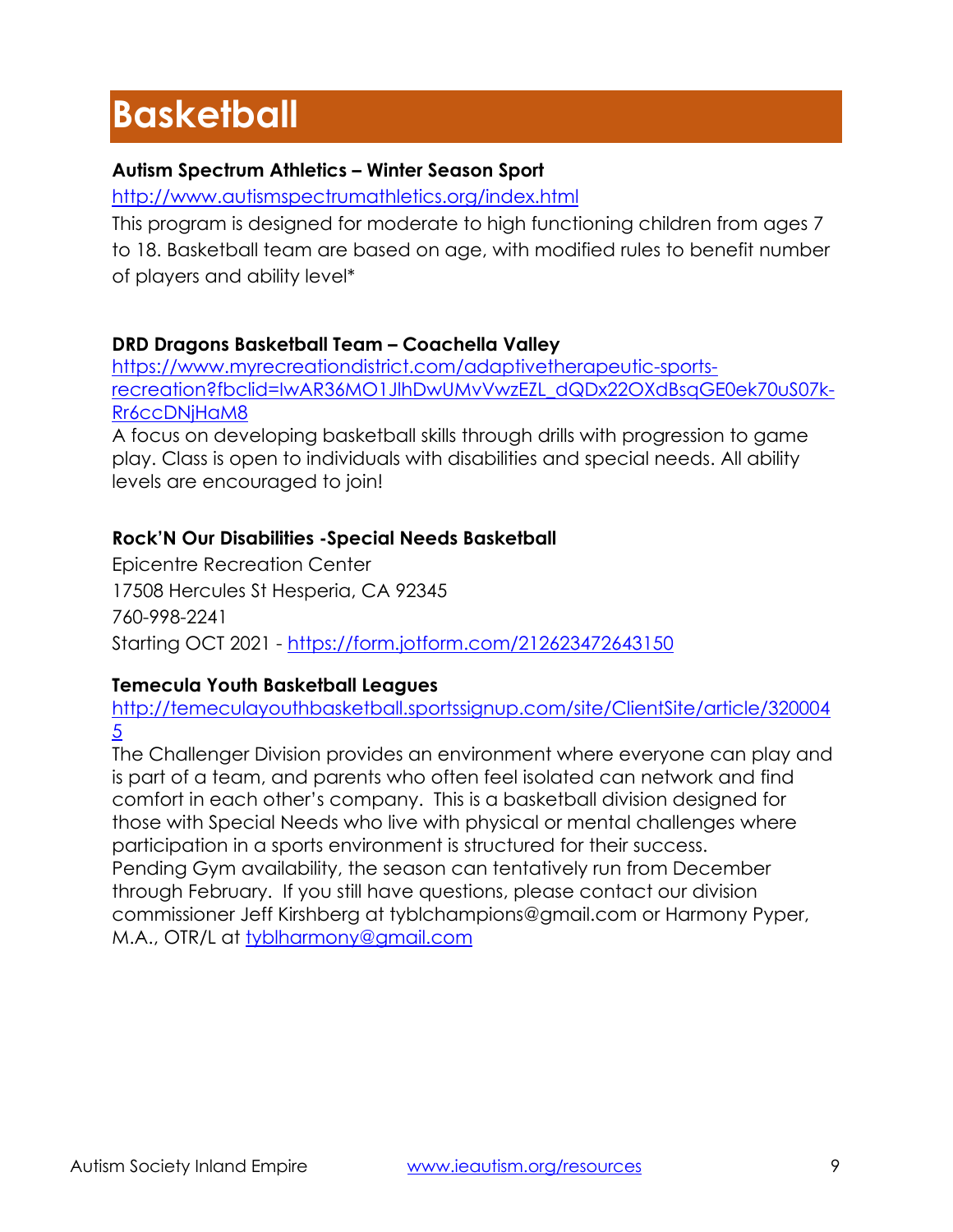# **Basketball**

# **Autism Spectrum Athletics – Winter Season Sport**

<http://www.autismspectrumathletics.org/index.html>

This program is designed for moderate to high functioning children from ages 7 to 18. Basketball team are based on age, with modified rules to benefit number of players and ability level\*

# **DRD Dragons Basketball Team – Coachella Valley**

[https://www.myrecreationdistrict.com/adaptivetherapeutic-sports](https://www.myrecreationdistrict.com/adaptivetherapeutic-sports-recreation?fbclid=IwAR36MO1JlhDwUMvVwzEZL_dQDx22OXdBsqGE0ek70uS07k-Rr6ccDNjHaM8)[recreation?fbclid=IwAR36MO1JlhDwUMvVwzEZL\\_dQDx22OXdBsqGE0ek70uS07k-](https://www.myrecreationdistrict.com/adaptivetherapeutic-sports-recreation?fbclid=IwAR36MO1JlhDwUMvVwzEZL_dQDx22OXdBsqGE0ek70uS07k-Rr6ccDNjHaM8)[Rr6ccDNjHaM8](https://www.myrecreationdistrict.com/adaptivetherapeutic-sports-recreation?fbclid=IwAR36MO1JlhDwUMvVwzEZL_dQDx22OXdBsqGE0ek70uS07k-Rr6ccDNjHaM8)

A focus on developing basketball skills through drills with progression to game play. Class is open to individuals with disabilities and special needs. All ability levels are encouraged to join!

# **Rock'N Our Disabilities -Special Needs Basketball**

Epicentre Recreation Center 17508 Hercules St Hesperia, CA 92345 760-998-2241 Starting OCT 2021 - <https://form.jotform.com/212623472643150>

# **Temecula Youth Basketball Leagues**

[http://temeculayouthbasketball.sportssignup.com/site/ClientSite/article/320004](http://temeculayouthbasketball.sportssignup.com/site/ClientSite/article/3200045) 5

The Challenger Division provides an environment where everyone can play and is part of a team, and parents who often feel isolated can network and find comfort in each other's company. This is a basketball division designed for those with Special Needs who live with physical or mental challenges where participation in a sports environment is structured for their success. Pending Gym availability, the season can tentatively run from December through February. If you still have questions, please contact our division commissioner Jeff Kirshberg at tyblchampions@gmail.com or Harmony Pyper, M.A., OTR/L at [tyblharmony@gmail.com](mailto:tyblharmony@gmail.com)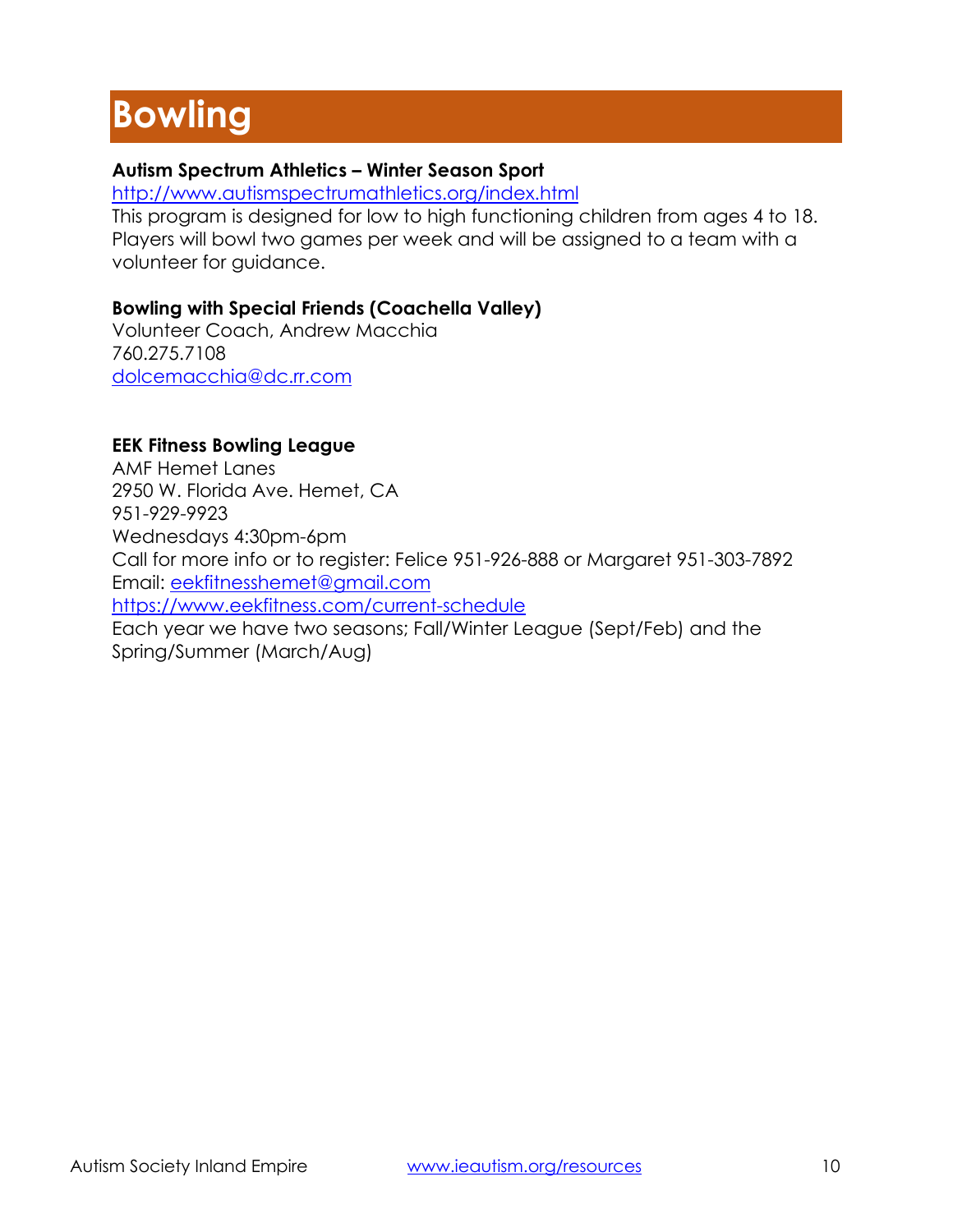# **Bowling**

# **Autism Spectrum Athletics – Winter Season Sport**

<http://www.autismspectrumathletics.org/index.html>

This program is designed for low to high functioning children from ages 4 to 18. Players will bowl two games per week and will be assigned to a team with a volunteer for guidance.

# **Bowling with Special Friends (Coachella Valley)**

Volunteer Coach, Andrew Macchia 760.275.7108 [dolcemacchia@dc.rr.com](mailto:dolcemacchia@dc.rr.com)

# **EEK Fitness Bowling League**

AMF Hemet Lanes 2950 W. Florida Ave. Hemet, CA 951-929-9923 Wednesdays 4:30pm-6pm Call for more info or to register: Felice 951-926-888 or Margaret 951-303-7892 Email: [eekfitnesshemet@gmail.com](mailto:eekfitnesshemet@gmail.com) <https://www.eekfitness.com/current-schedule> Each year we have two seasons; Fall/Winter League (Sept/Feb) and the Spring/Summer (March/Aug)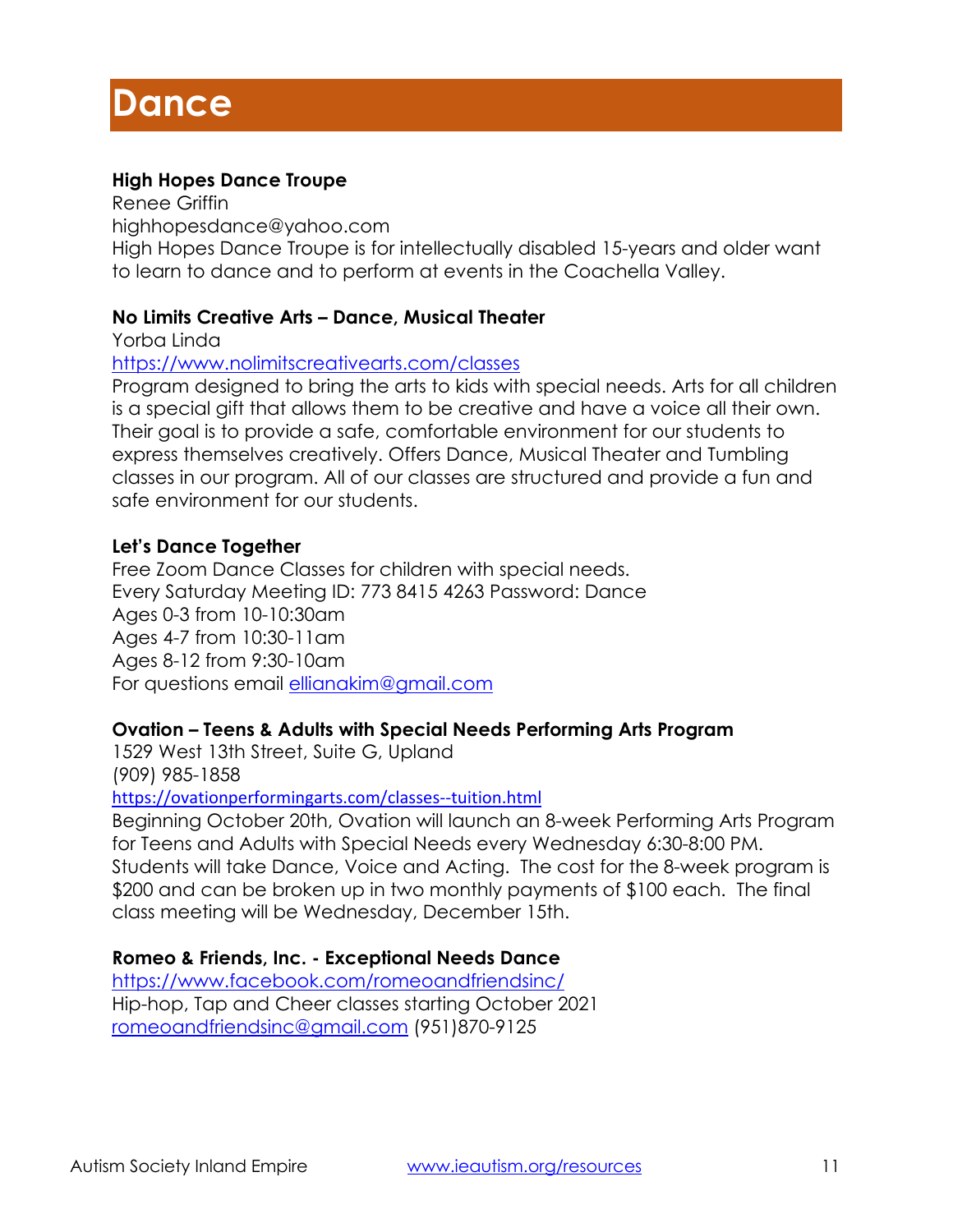# **High Hopes Dance Troupe**

Renee Griffin highhopesdance@yahoo.com High Hopes Dance Troupe is for intellectually disabled 15-years and older want to learn to dance and to perform at events in the Coachella Valley.

#### **No Limits Creative Arts – Dance, Musical Theater**

Yorba Linda

#### <https://www.nolimitscreativearts.com/classes>

Program designed to bring the arts to kids with special needs. Arts for all children is a special gift that allows them to be creative and have a voice all their own. Their goal is to provide a safe, comfortable environment for our students to express themselves creatively. Offers Dance, Musical Theater and Tumbling classes in our program. All of our classes are structured and provide a fun and safe environment for our students.

#### **Let's Dance Together**

Free Zoom Dance Classes for children with special needs. Every Saturday Meeting ID: 773 8415 4263 Password: Dance Ages 0-3 from 10-10:30am Ages 4-7 from 10:30-11am Ages 8-12 from 9:30-10am For questions email [ellianakim@gmail.com](mailto:ellianakim@gmail.com)

#### **Ovation – Teens & Adults with Special Needs Performing Arts Program**

1529 West 13th Street, Suite G, Upland (909) 985-1858

<https://ovationperformingarts.com/classes--tuition.html>

Beginning October 20th, Ovation will launch an 8-week Performing Arts Program for Teens and Adults with Special Needs every Wednesday 6:30-8:00 PM. Students will take Dance, Voice and Acting. The cost for the 8-week program is \$200 and can be broken up in two monthly payments of \$100 each. The final class meeting will be Wednesday, December 15th.

#### **Romeo & Friends, Inc. - Exceptional Needs Dance**

<https://www.facebook.com/romeoandfriendsinc/> Hip-hop, Tap and Cheer classes starting October 2021 [romeoandfriendsinc@gmail.com](mailto:romeoandfriendsinc@gmail.com) (951)870-9125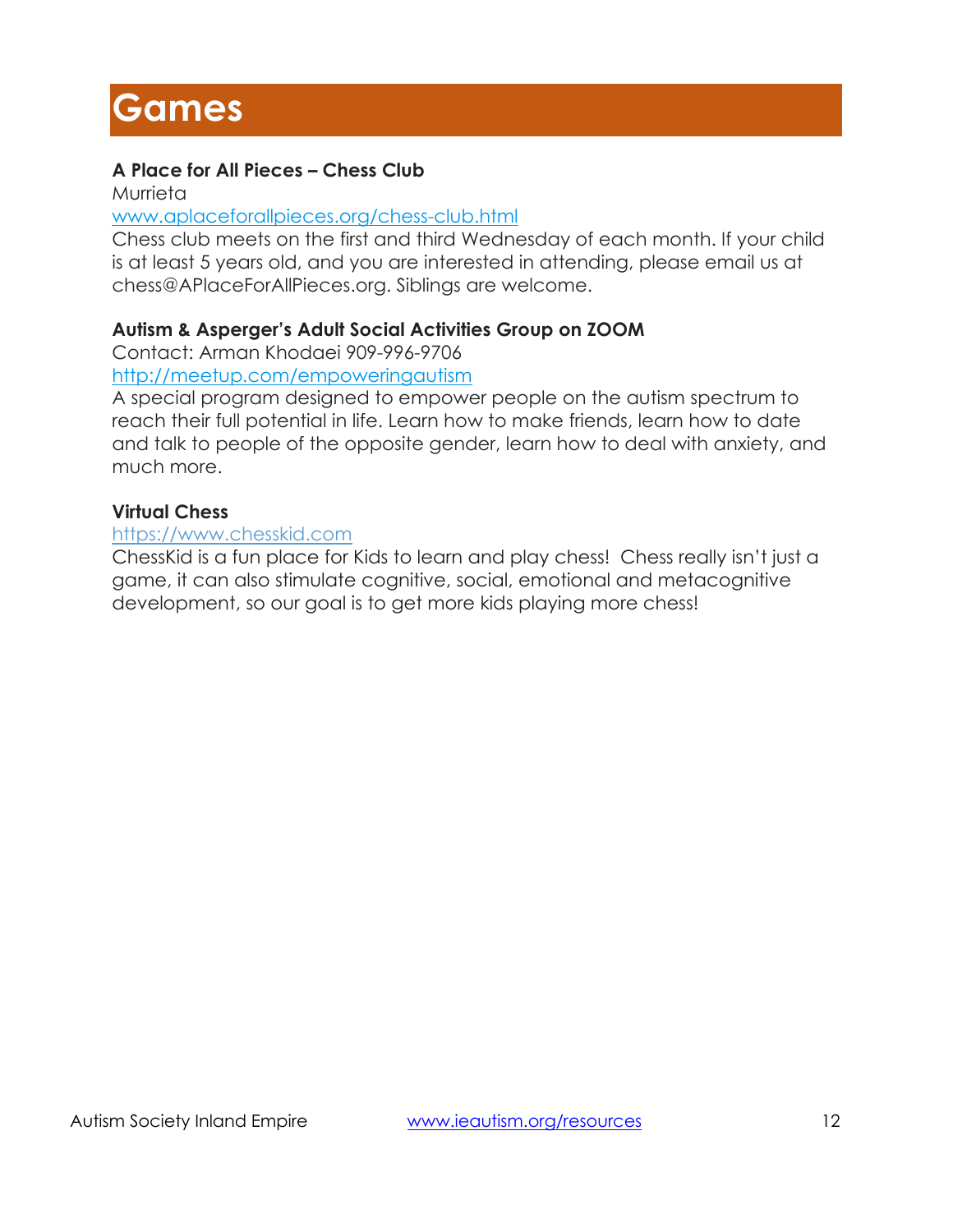# **Games**

# **A Place for All Pieces – Chess Club**

Murrieta

#### [www.aplaceforallpieces.org/chess-club.html](http://www.aplaceforallpieces.org/chess-club.html)

Chess club meets on the first and third Wednesday of each month. If your child is at least 5 years old, and you are interested in attending, please email us at chess@APlaceForAllPieces.org. Siblings are welcome.

# **Autism & Asperger's Adult Social Activities Group on ZOOM**

Contact: Arman Khodaei 909-996-9706

<http://meetup.com/empoweringautism>

A special program designed to empower people on the autism spectrum to reach their full potential in life. Learn how to make friends, learn how to date and talk to people of the opposite gender, learn how to deal with anxiety, and much more.

# **Virtual Chess**

#### [https://www.chesskid.com](https://www.chesskid.com/)

ChessKid is a fun place for Kids to learn and play chess! Chess really isn't just a game, it can also stimulate cognitive, social, emotional and metacognitive development, so our goal is to get more kids playing more chess!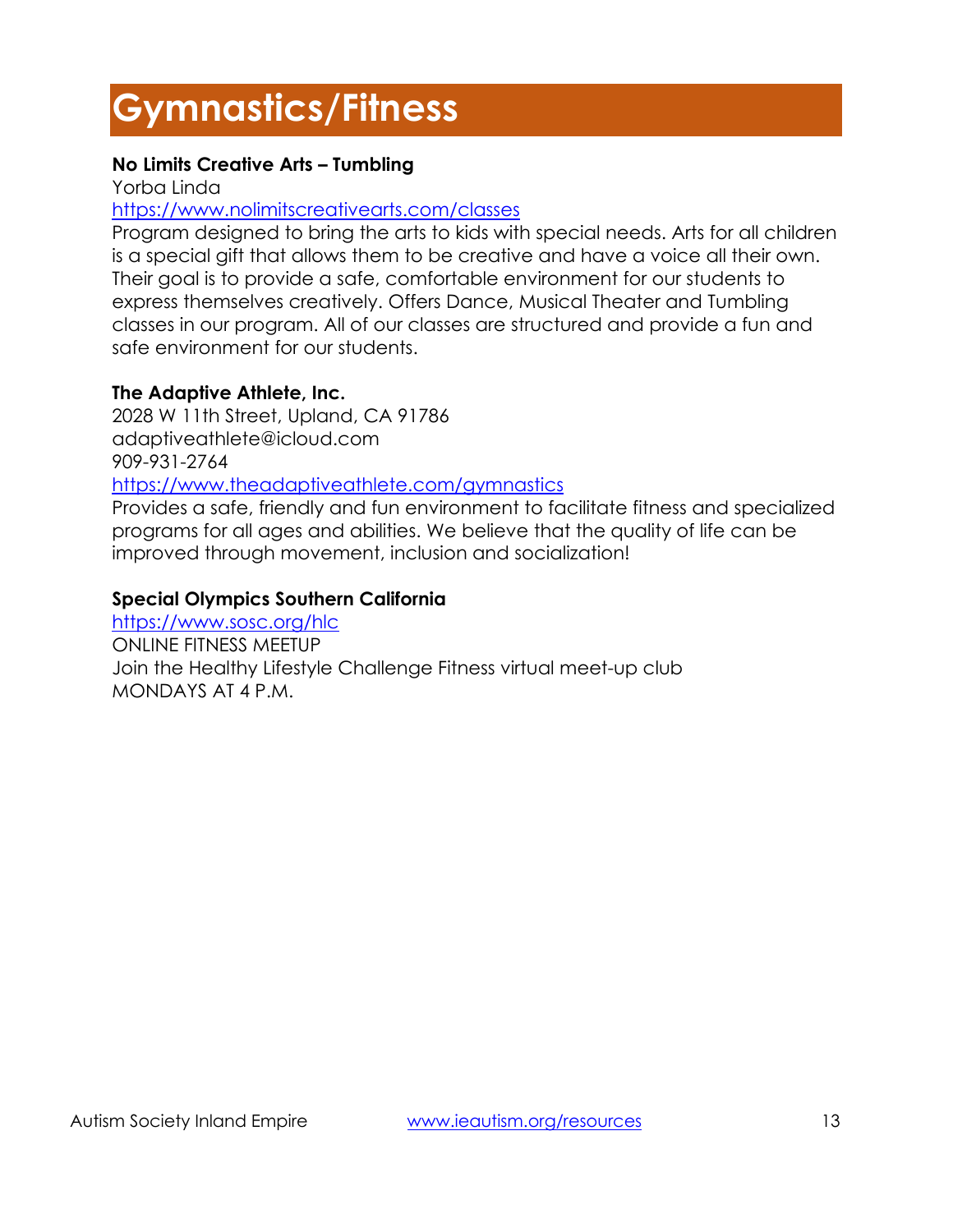# **Gymnastics/Fitness**

# **No Limits Creative Arts – Tumbling**

Yorba Linda

# <https://www.nolimitscreativearts.com/classes>

Program designed to bring the arts to kids with special needs. Arts for all children is a special gift that allows them to be creative and have a voice all their own. Their goal is to provide a safe, comfortable environment for our students to express themselves creatively. Offers Dance, Musical Theater and Tumbling classes in our program. All of our classes are structured and provide a fun and safe environment for our students.

# **The Adaptive Athlete, Inc.**

2028 W 11th Street, Upland, CA 91786 adaptiveathlete@icloud.com 909-931-2764 <https://www.theadaptiveathlete.com/gymnastics>

Provides a safe, friendly and fun environment to facilitate fitness and specialized programs for all ages and abilities. We believe that the quality of life can be improved through movement, inclusion and socialization!

# **Special Olympics Southern California**

<https://www.sosc.org/hlc> ONLINE FITNESS MEETUP Join the Healthy Lifestyle Challenge Fitness virtual meet-up club MONDAYS AT 4 P.M.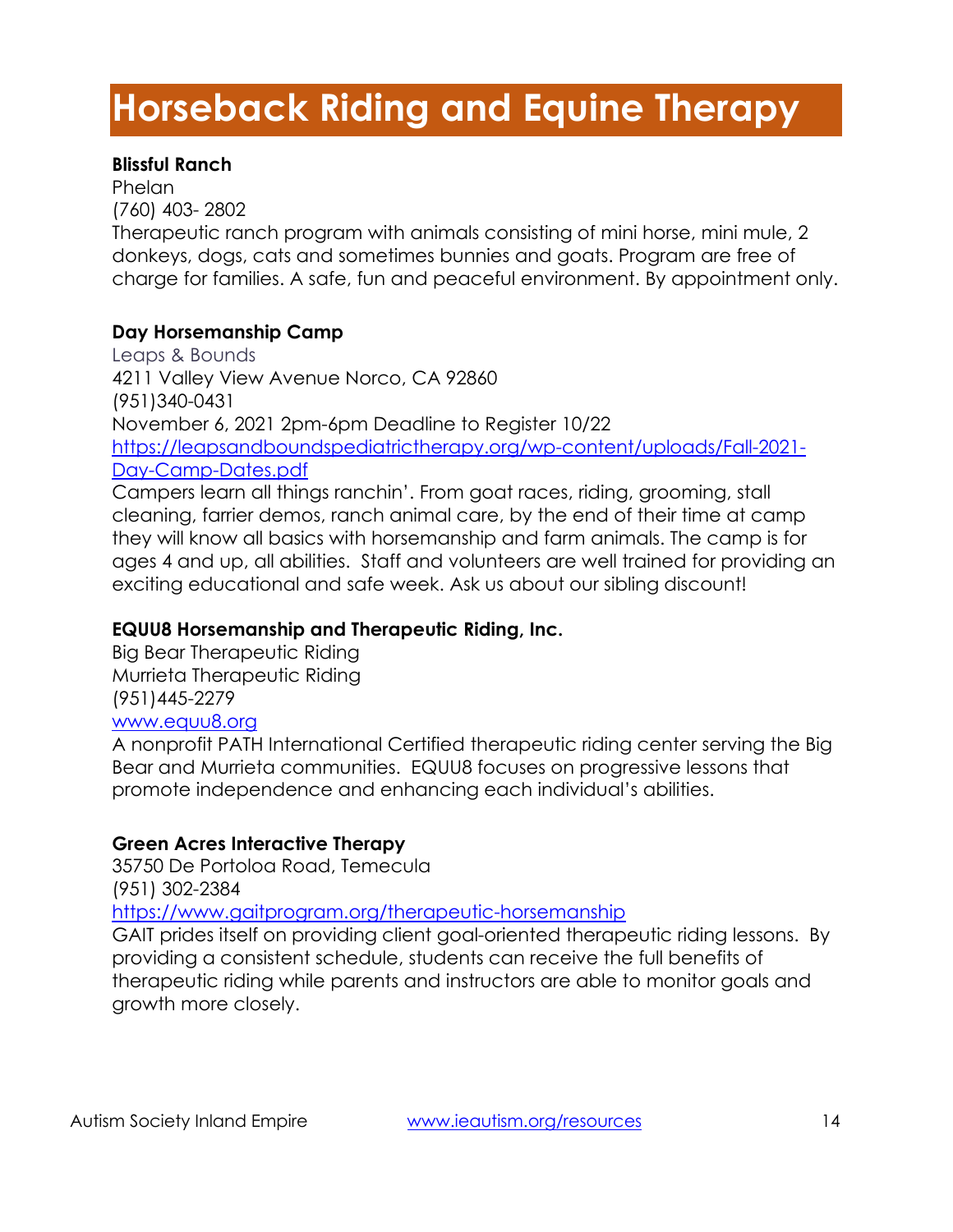# **Horseback Riding and Equine Therapy**

# **Blissful Ranch**

**Phelan** (760) 403- 2802 Therapeutic ranch program with animals consisting of mini horse, mini mule, 2 donkeys, dogs, cats and sometimes bunnies and goats. Program are free of charge for families. A safe, fun and peaceful environment. By appointment only.

# **Day Horsemanship Camp**

Leaps & Bounds 4211 Valley View Avenue Norco, CA 92860 (951)340-0431 November 6, 2021 2pm-6pm Deadline to Register 10/22 [https://leapsandboundspediatrictherapy.org/wp-content/uploads/Fall-2021-](https://leapsandboundspediatrictherapy.org/wp-content/uploads/Fall-2021-Day-Camp-Dates.pdf) [Day-Camp-Dates.pdf](https://leapsandboundspediatrictherapy.org/wp-content/uploads/Fall-2021-Day-Camp-Dates.pdf) Campers learn all things ranchin'. From goat races, riding, grooming, stall cleaning, farrier demos, ranch animal care, by the end of their time at camp

they will know all basics with horsemanship and farm animals. The camp is for ages 4 and up, all abilities. Staff and volunteers are well trained for providing an exciting educational and safe week. Ask us about our sibling discount!

# **EQUU8 Horsemanship and Therapeutic Riding, Inc.**

Big Bear Therapeutic Riding Murrieta Therapeutic Riding (951)445-2279 [www.equu8.org](http://www.equu8.org/)

A nonprofit PATH International Certified therapeutic riding center serving the Big Bear and Murrieta communities. EQUU8 focuses on progressive lessons that promote independence and enhancing each individual's abilities.

# **Green Acres Interactive Therapy**

35750 De Portoloa Road, Temecula (951) 302-2384

<https://www.gaitprogram.org/therapeutic-horsemanship>

GAIT prides itself on providing client goal-oriented therapeutic riding lessons. By providing a consistent schedule, students can receive the full benefits of therapeutic riding while parents and instructors are able to monitor goals and growth more closely.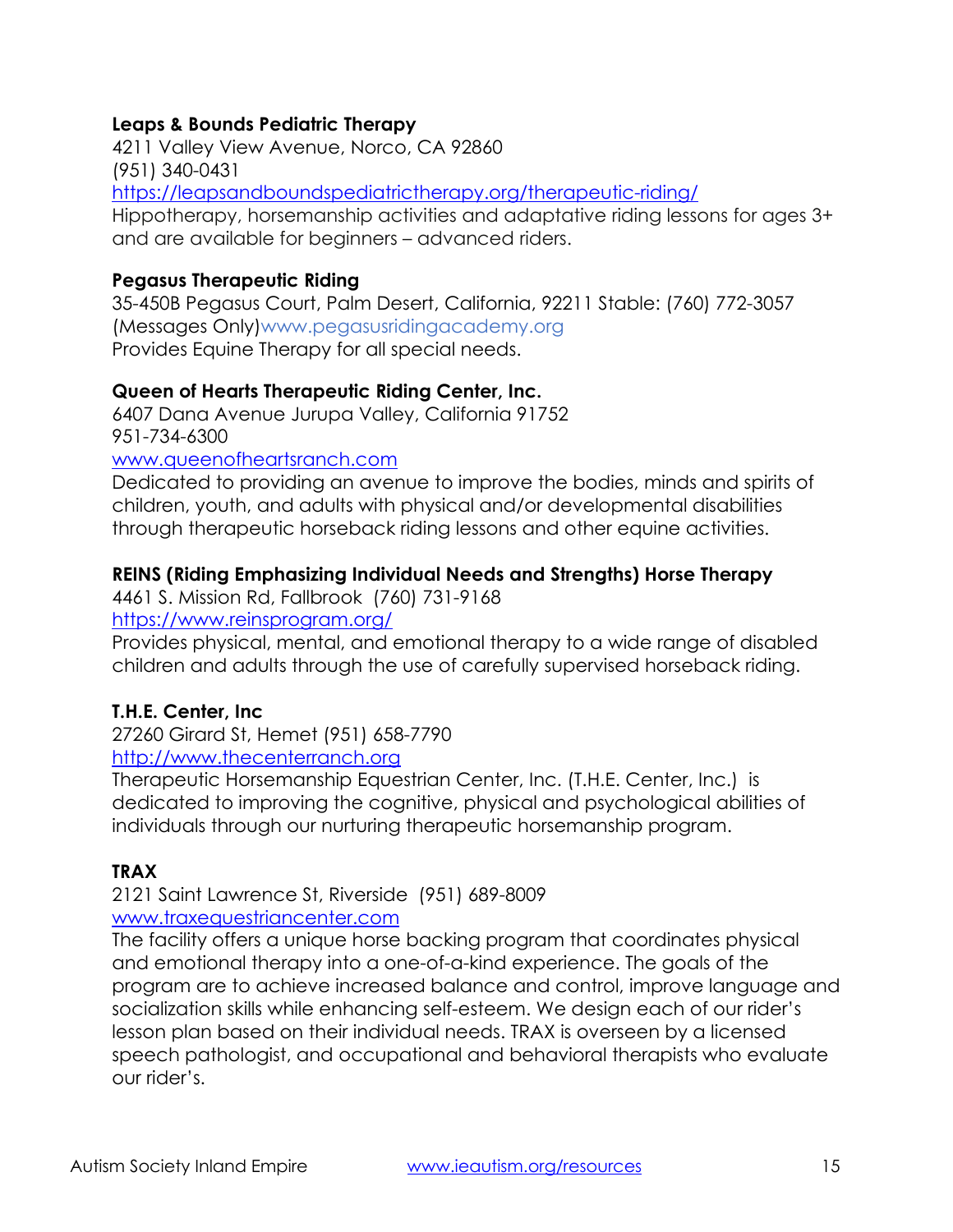# **Leaps & Bounds Pediatric Therapy**

4211 Valley View Avenue, Norco, CA 92860 (951) 340-0431 <https://leapsandboundspediatrictherapy.org/therapeutic-riding/> Hippotherapy, horsemanship activities and adaptative riding lessons for ages 3+ and are available for beginners – advanced riders.

#### **Pegasus Therapeutic Riding**

35-450B Pegasus Court, Palm Desert, California, 92211 Stable: (760) 772-3057 (Messages Only)www.pegasusridingacademy.org Provides Equine Therapy for all special needs.

#### **Queen of Hearts Therapeutic Riding Center, Inc.**

6407 Dana Avenue Jurupa Valley, California 91752 951-734-6300

#### [www.queenofheartsranch.com](http://www.queenofheartsranch.com/)

Dedicated to providing an avenue to improve the bodies, minds and spirits of children, youth, and adults with physical and/or developmental disabilities through therapeutic horseback riding lessons and other equine activities.

#### **REINS (Riding Emphasizing Individual Needs and Strengths) Horse Therapy**

4461 S. Mission Rd, Fallbrook (760) 731-9168

<https://www.reinsprogram.org/>

Provides physical, mental, and emotional therapy to a wide range of disabled children and adults through the use of carefully supervised horseback riding.

#### **T.H.E. Center, Inc**

27260 Girard St, Hemet (951) 658-7790

# [http://www.thecenterranch.org](http://www.thecenterranch.org/)

Therapeutic Horsemanship Equestrian Center, Inc. (T.H.E. Center, Inc.) is dedicated to improving the cognitive, physical and psychological abilities of individuals through our nurturing therapeutic horsemanship program.

#### **TRAX**

2121 Saint Lawrence St, Riverside (951) 689-8009 [www.traxequestriancenter.com](http://www.traxequestriancenter.com/)

The facility offers a unique horse backing program that coordinates physical and emotional therapy into a one-of-a-kind experience. The goals of the program are to achieve increased balance and control, improve language and socialization skills while enhancing self-esteem. We design each of our rider's lesson plan based on their individual needs. TRAX is overseen by a licensed speech pathologist, and occupational and behavioral therapists who evaluate our rider's.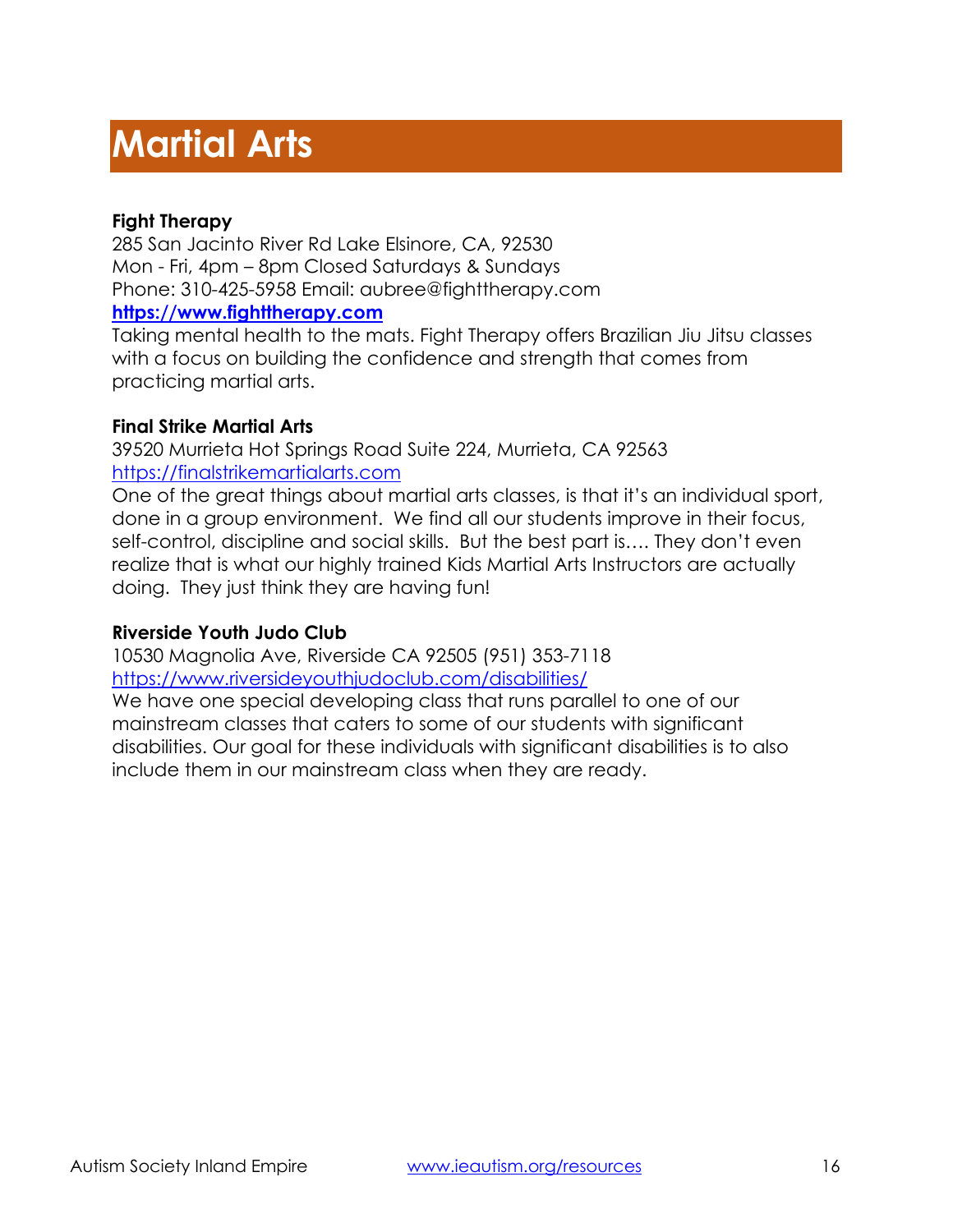# **Martial Arts**

# **Fight Therapy**

285 San Jacinto River Rd Lake Elsinore, CA, 92530 Mon - Fri, 4pm – 8pm Closed Saturdays & Sundays Phone: 310-425-5958 Email: aubree@fighttherapy.com **[https://www.fighttherapy.com](https://www.fighttherapy.com/)**

Taking mental health to the mats. Fight Therapy offers Brazilian Jiu Jitsu classes with a focus on building the confidence and strength that comes from practicing martial arts.

# **Final Strike Martial Arts**

39520 Murrieta Hot Springs Road Suite 224, Murrieta, CA 92563 [https://finalstrikemartialarts.com](https://finalstrikemartialarts.com/)

One of the great things about martial arts classes, is that it's an individual sport, done in a group environment. We find all our students improve in their focus, self-control, discipline and social skills. But the best part is…. They don't even realize that is what our highly trained Kids Martial Arts Instructors are actually doing. They just think they are having fun!

# **Riverside Youth Judo Club**

10530 Magnolia Ave, Riverside CA 92505 (951) 353-7118 <https://www.riversideyouthjudoclub.com/disabilities/>

We have one special developing class that runs parallel to one of our mainstream classes that caters to some of our students with significant disabilities. Our goal for these individuals with significant disabilities is to also include them in our mainstream class when they are ready.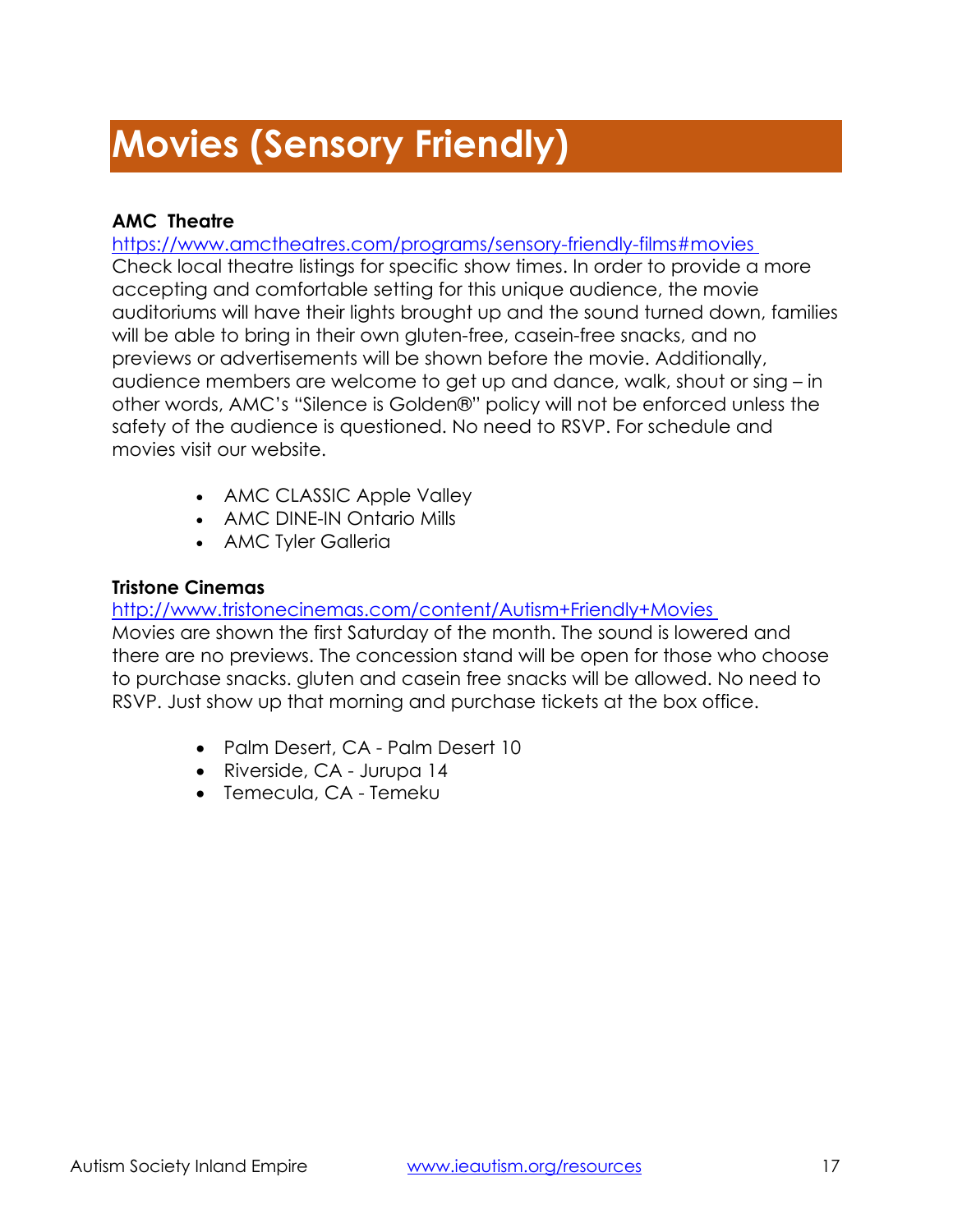# **Movies (Sensory Friendly)**

# **AMC Theatre**

#### <https://www.amctheatres.com/programs/sensory-friendly-films#movies>

Check local theatre listings for specific show times. In order to provide a more accepting and comfortable setting for this unique audience, the movie auditoriums will have their lights brought up and the sound turned down, families will be able to bring in their own gluten-free, casein-free snacks, and no previews or advertisements will be shown before the movie. Additionally, audience members are welcome to get up and dance, walk, shout or sing – in other words, AMC's "Silence is Golden®" policy will not be enforced unless the safety of the audience is questioned. No need to RSVP. For schedule and movies visit our website.

- AMC CLASSIC Apple Valley
- AMC DINE-IN Ontario Mills
- AMC Tyler Galleria

# **Tristone Cinemas**

<http://www.tristonecinemas.com/content/Autism+Friendly+Movies>

Movies are shown the first Saturday of the month. The sound is lowered and there are no previews. The concession stand will be open for those who choose to purchase snacks. gluten and casein free snacks will be allowed. No need to RSVP. Just show up that morning and purchase tickets at the box office.

- Palm Desert, CA Palm Desert 10
- Riverside, CA Jurupa 14
- Temecula, CA Temeku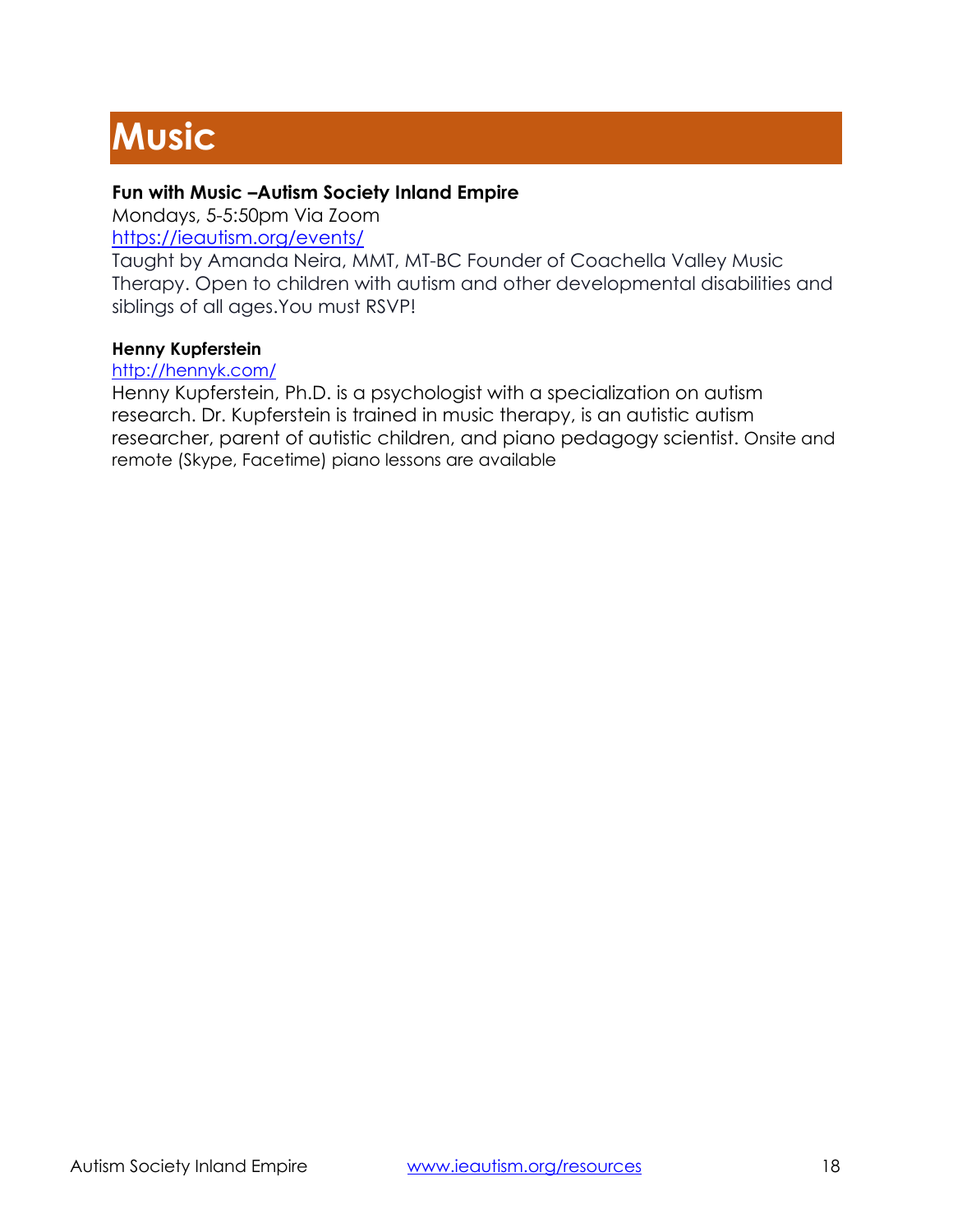# **Music**

# **Fun with Music –Autism Society Inland Empire**

Mondays, 5-5:50pm Via Zoom

<https://ieautism.org/events/>

Taught by Amanda Neira, MMT, MT-BC Founder of Coachella Valley Music Therapy. Open to children with autism and other developmental disabilities and siblings of all ages.You must RSVP!

#### **Henny Kupferstein**

<http://hennyk.com/>

Henny Kupferstein, Ph.D. is a psychologist with a specialization on autism research. Dr. Kupferstein is trained in music therapy, is an autistic autism researcher, parent of autistic children, and piano pedagogy scientist. Onsite and remote (Skype, Facetime) piano lessons are available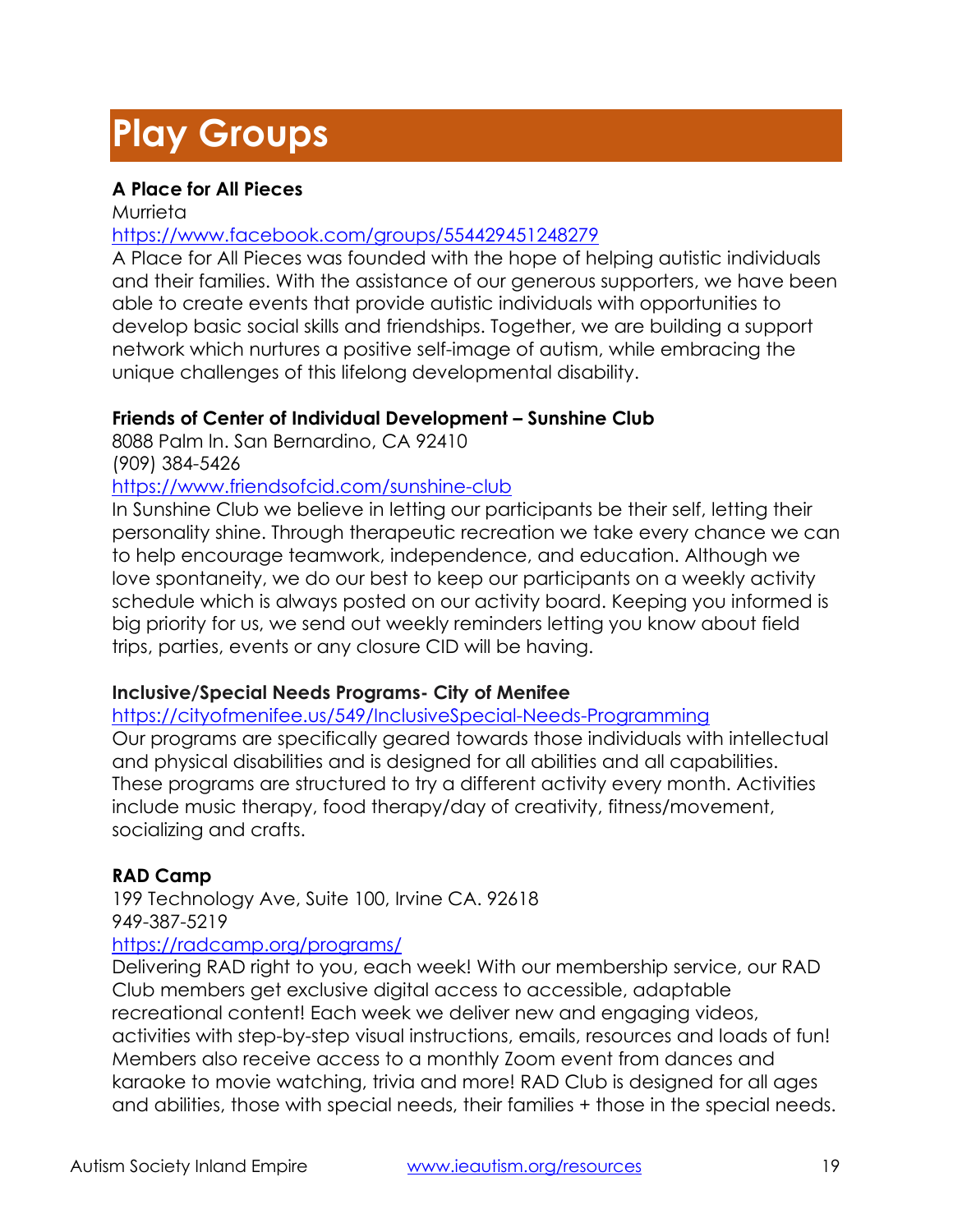# **Play Groups**

# **A Place for All Pieces**

Murrieta

# <https://www.facebook.com/groups/554429451248279>

A Place for All Pieces was founded with the hope of helping autistic individuals and their families. With the assistance of our generous supporters, we have been able to create events that provide autistic individuals with opportunities to develop basic social skills and friendships. Together, we are building a support network which nurtures a positive self-image of autism, while embracing the unique challenges of this lifelong developmental disability.

# **Friends of Center of Individual Development – Sunshine Club**

8088 Palm ln. San Bernardino, CA 92410 (909) 384-5426

#### <https://www.friendsofcid.com/sunshine-club>

In Sunshine Club we believe in letting our participants be their self, letting their personality shine. Through therapeutic recreation we take every chance we can to help encourage teamwork, independence, and education. Although we love spontaneity, we do our best to keep our participants on a weekly activity schedule which is always posted on our activity board. Keeping you informed is big priority for us, we send out weekly reminders letting you know about field trips, parties, events or any closure CID will be having.

# **Inclusive/Special Needs Programs- City of Menifee**

<https://cityofmenifee.us/549/InclusiveSpecial-Needs-Programming>

Our programs are specifically geared towards those individuals with intellectual and physical disabilities and is designed for all abilities and all capabilities. These programs are structured to try a different activity every month. Activities include music therapy, food therapy/day of creativity, fitness/movement, socializing and crafts.

# **RAD Camp**

199 Technology Ave, Suite 100, Irvine CA. 92618 949-387-5219

# <https://radcamp.org/programs/>

Delivering RAD right to you, each week! With our membership service, our RAD Club members get exclusive digital access to accessible, adaptable recreational content! Each week we deliver new and engaging videos, activities with step-by-step visual instructions, emails, resources and loads of fun! Members also receive access to a monthly Zoom event from dances and karaoke to movie watching, trivia and more! RAD Club is designed for all ages and abilities, those with special needs, their families + those in the special needs.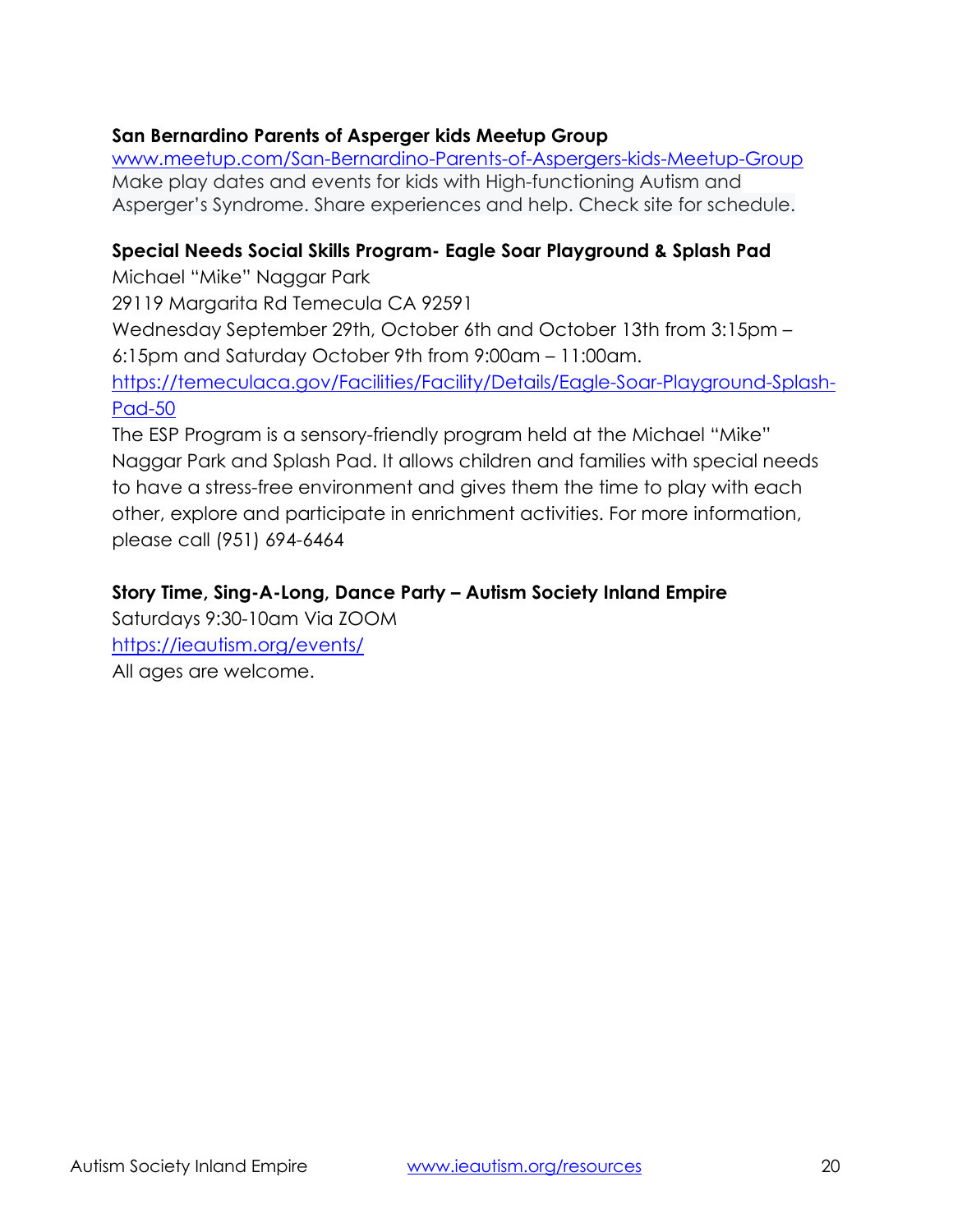# **San Bernardino Parents of Asperger kids Meetup Group**

[www.meetup.com/San-Bernardino-Parents-of-Aspergers-kids-Meetup-Group](http://www.meetup.com/San-Bernardino-Parents-of-Aspergers-kids-Meetup-Group) Make play dates and events for kids with High-functioning Autism and Asperger's Syndrome. Share experiences and help. Check site for schedule.

# **Special Needs Social Skills Program- Eagle Soar Playground & Splash Pad**

Michael "Mike" Naggar Park

29119 Margarita Rd Temecula CA 92591

Wednesday September 29th, October 6th and October 13th from 3:15pm – 6:15pm and Saturday October 9th from 9:00am – 11:00am.

[https://temeculaca.gov/Facilities/Facility/Details/Eagle-Soar-Playground-Splash-](https://temeculaca.gov/Facilities/Facility/Details/Eagle-Soar-Playground-Splash-Pad-50)[Pad-50](https://temeculaca.gov/Facilities/Facility/Details/Eagle-Soar-Playground-Splash-Pad-50)

The ESP Program is a sensory-friendly program held at the Michael "Mike" Naggar Park and Splash Pad. It allows children and families with special needs to have a stress-free environment and gives them the time to play with each other, explore and participate in enrichment activities. For more information, please call (951) 694-6464

# **Story Time, Sing-A-Long, Dance Party – Autism Society Inland Empire**

Saturdays 9:30-10am Via ZOOM <https://ieautism.org/events/> All ages are welcome.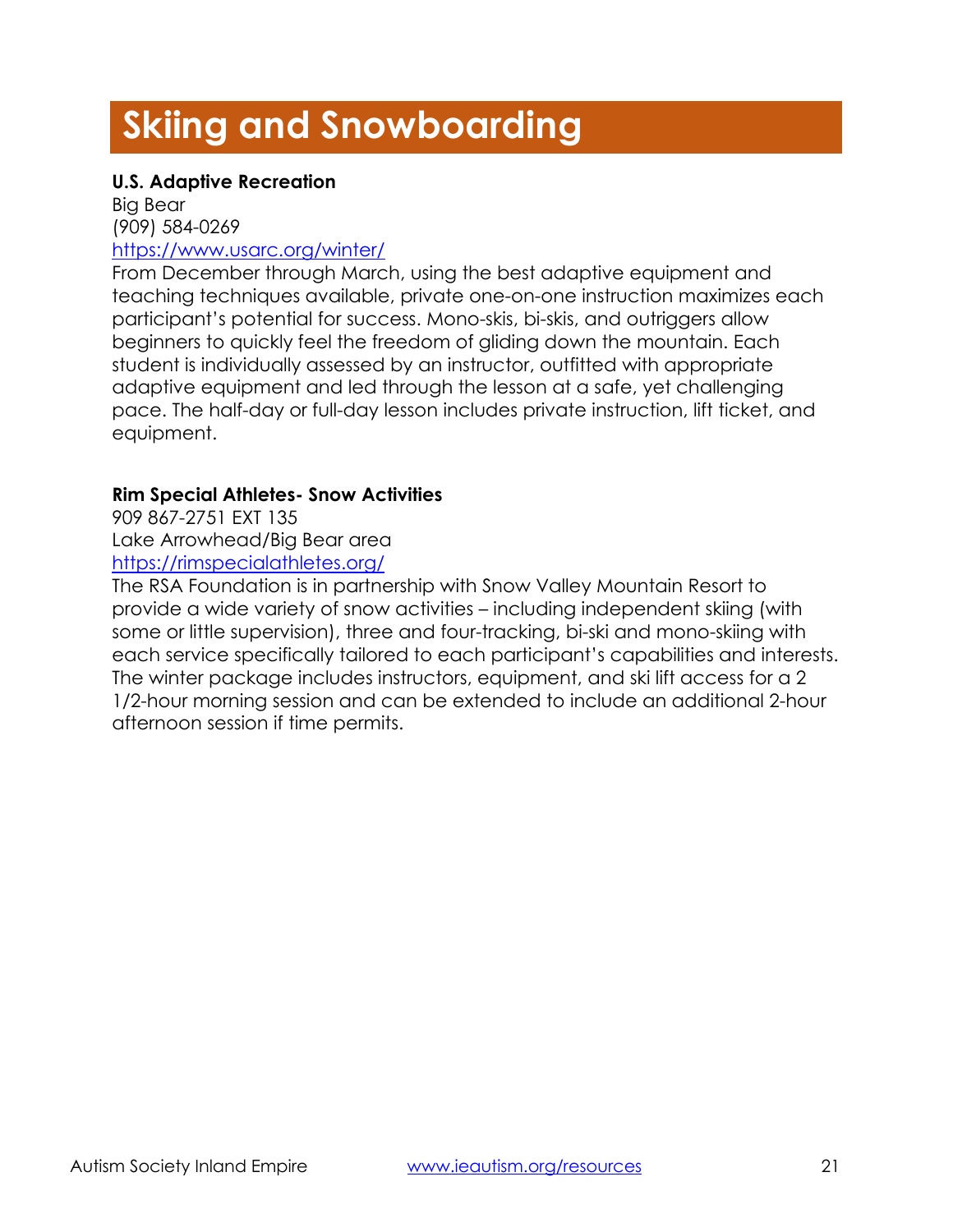# **Skiing and Snowboarding**

# **U.S. Adaptive Recreation**

Big Bear (909) 584-0269 <https://www.usarc.org/winter/>

From December through March, using the best adaptive equipment and teaching techniques available, private one-on-one instruction maximizes each participant's potential for success. Mono-skis, bi-skis, and outriggers allow beginners to quickly feel the freedom of gliding down the mountain. Each student is individually assessed by an instructor, outfitted with appropriate adaptive equipment and led through the lesson at a safe, yet challenging pace. The half-day or full-day lesson includes private instruction, lift ticket, and equipment.

# **Rim Special Athletes- Snow Activities**

909 867-2751 EXT 135 Lake Arrowhead/Big Bear area <https://rimspecialathletes.org/>

The RSA Foundation is in partnership with Snow Valley Mountain Resort to provide a wide variety of snow activities – including independent skiing (with some or little supervision), three and four-tracking, bi-ski and mono-skiing with each service specifically tailored to each participant's capabilities and interests. The winter package includes instructors, equipment, and ski lift access for a 2 1/2-hour morning session and can be extended to include an additional 2-hour afternoon session if time permits.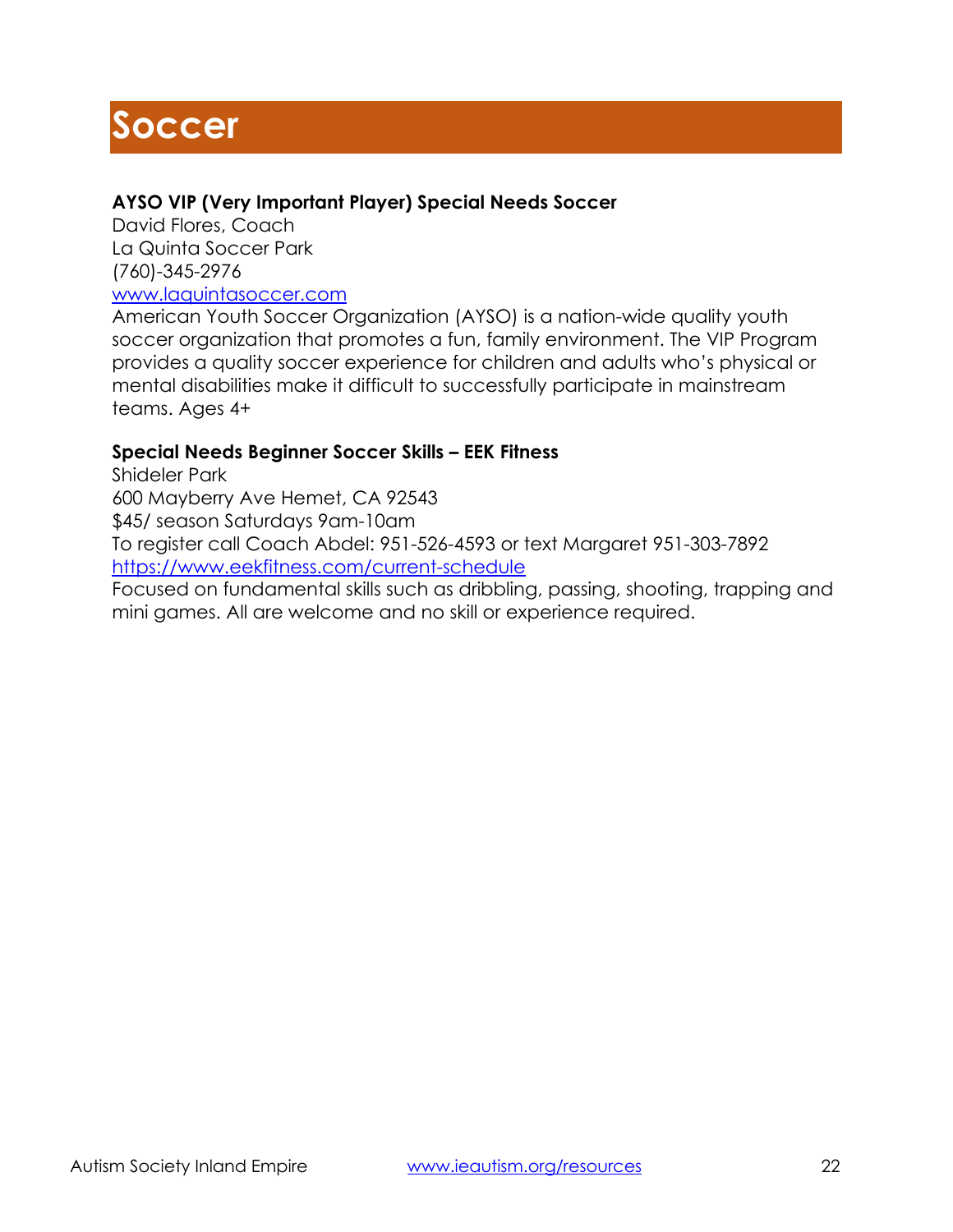# **Soccer**

# **AYSO VIP (Very Important Player) Special Needs Soccer**

David Flores, Coach La Quinta Soccer Park (760)-345-2976

[www.laquintasoccer.com](http://www.laquintasoccer.com/)

American Youth Soccer Organization (AYSO) is a nation-wide quality youth soccer organization that promotes a fun, family environment. The VIP Program provides a quality soccer experience for children and adults who's physical or mental disabilities make it difficult to successfully participate in mainstream teams. Ages 4+

# **Special Needs Beginner Soccer Skills – EEK Fitness**

Shideler Park 600 Mayberry Ave Hemet, CA 92543 \$45/ season Saturdays 9am-10am To register call Coach Abdel: 951-526-4593 or text Margaret 951-303-7892 <https://www.eekfitness.com/current-schedule>

Focused on fundamental skills such as dribbling, passing, shooting, trapping and mini games. All are welcome and no skill or experience required.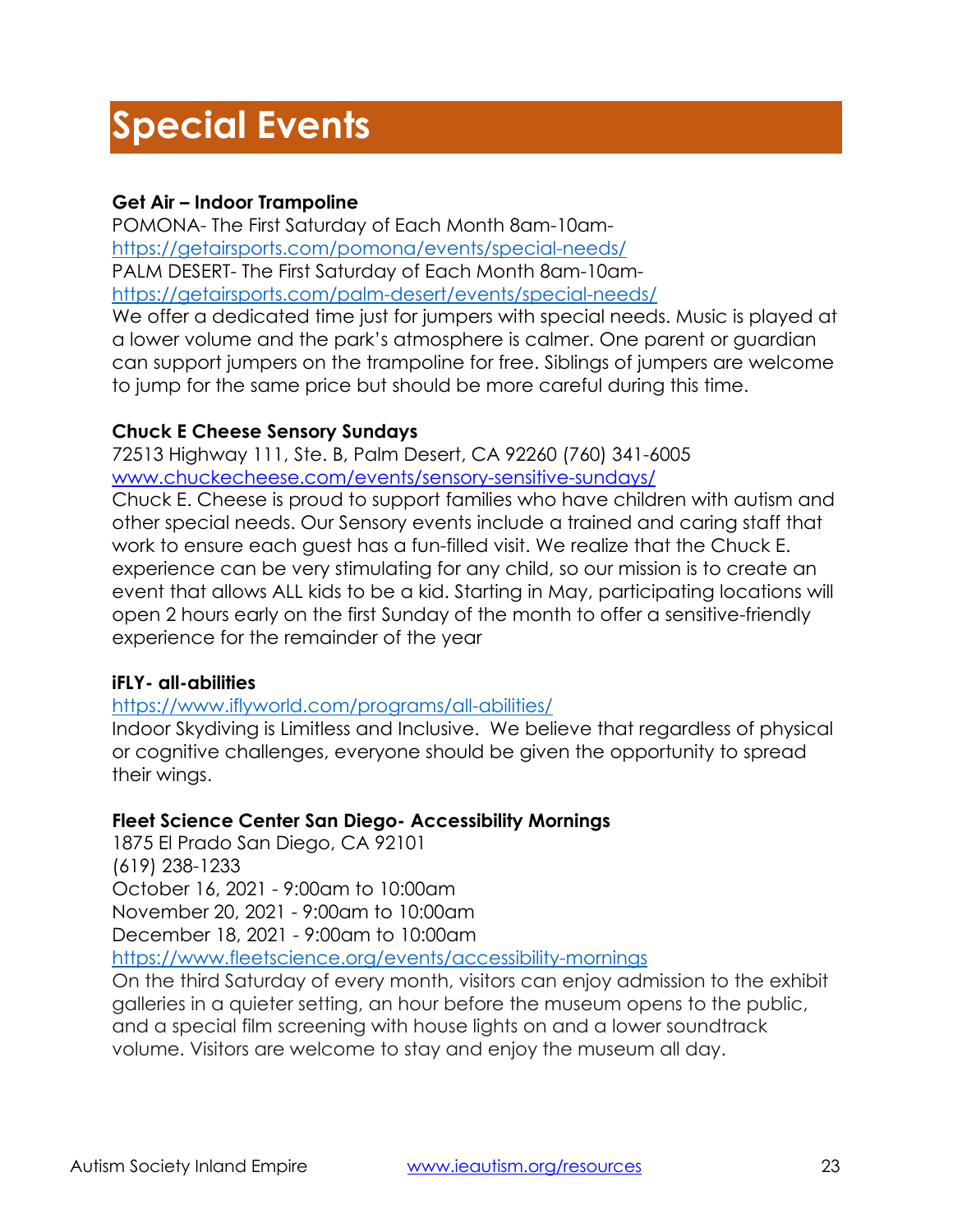# **Special Events**

# **Get Air – Indoor Trampoline**

POMONA- The First Saturday of Each Month 8am-10am<https://getairsports.com/pomona/events/special-needs/> PALM DESERT- The First Saturday of Each Month 8am-10am<https://getairsports.com/palm-desert/events/special-needs/>

We offer a dedicated time just for jumpers with special needs. Music is played at a lower volume and the park's atmosphere is calmer. One parent or guardian can support jumpers on the trampoline for free. Siblings of jumpers are welcome to jump for the same price but should be more careful during this time.

# **Chuck E Cheese Sensory Sundays**

72513 Highway 111, Ste. B, Palm Desert, CA 92260 (760) 341-6005 [www.chuckecheese.com/events/sensory-sensitive-sundays/](http://www.chuckecheese.com/events/sensory-sensitive-sundays/)

Chuck E. Cheese is proud to support families who have children with autism and other special needs. Our Sensory events include a trained and caring staff that work to ensure each guest has a fun-filled visit. We realize that the Chuck E. experience can be very stimulating for any child, so our mission is to create an event that allows ALL kids to be a kid. Starting in May, participating locations will open 2 hours early on the first Sunday of the month to offer a sensitive-friendly experience for the remainder of the year

# **iFLY- all-abilities**

# <https://www.iflyworld.com/programs/all-abilities/>

Indoor Skydiving is Limitless and Inclusive. We believe that regardless of physical or cognitive challenges, everyone should be given the opportunity to spread their wings.

# **Fleet Science Center San Diego- Accessibility Mornings**

1875 El Prado San Diego, CA 92101 (619) 238-1233 October 16, 2021 - 9:00am to 10:00am November 20, 2021 - 9:00am to 10:00am December 18, 2021 - 9:00am to 10:00am

<https://www.fleetscience.org/events/accessibility-mornings>

On the third Saturday of every month, visitors can enjoy admission to the exhibit galleries in a quieter setting, an hour before the museum opens to the public, and a special film screening with house lights on and a lower soundtrack volume. Visitors are welcome to stay and enjoy the museum all day.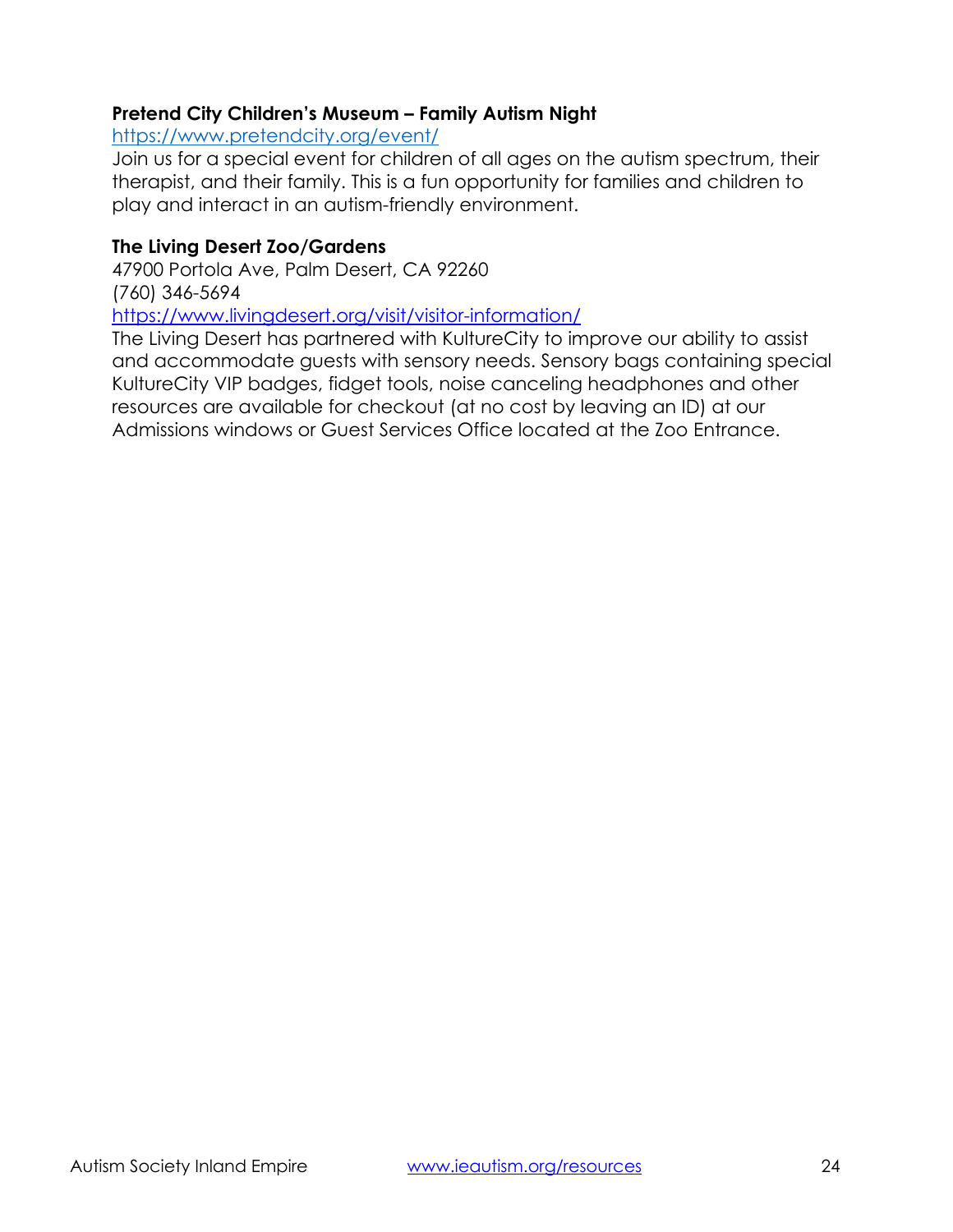# **Pretend City Children's Museum – Family Autism Night**

<https://www.pretendcity.org/event/>

Join us for a special event for children of all ages on the autism spectrum, their therapist, and their family. This is a fun opportunity for families and children to play and interact in an autism-friendly environment.

# **The Living Desert Zoo/Gardens**

47900 Portola Ave, Palm Desert, CA 92260 (760) 346-5694

<https://www.livingdesert.org/visit/visitor-information/>

The Living Desert has partnered with KultureCity to improve our ability to assist and accommodate guests with sensory needs. Sensory bags containing special KultureCity VIP badges, fidget tools, noise canceling headphones and other resources are available for checkout (at no cost by leaving an ID) at our Admissions windows or Guest Services Office located at the Zoo Entrance.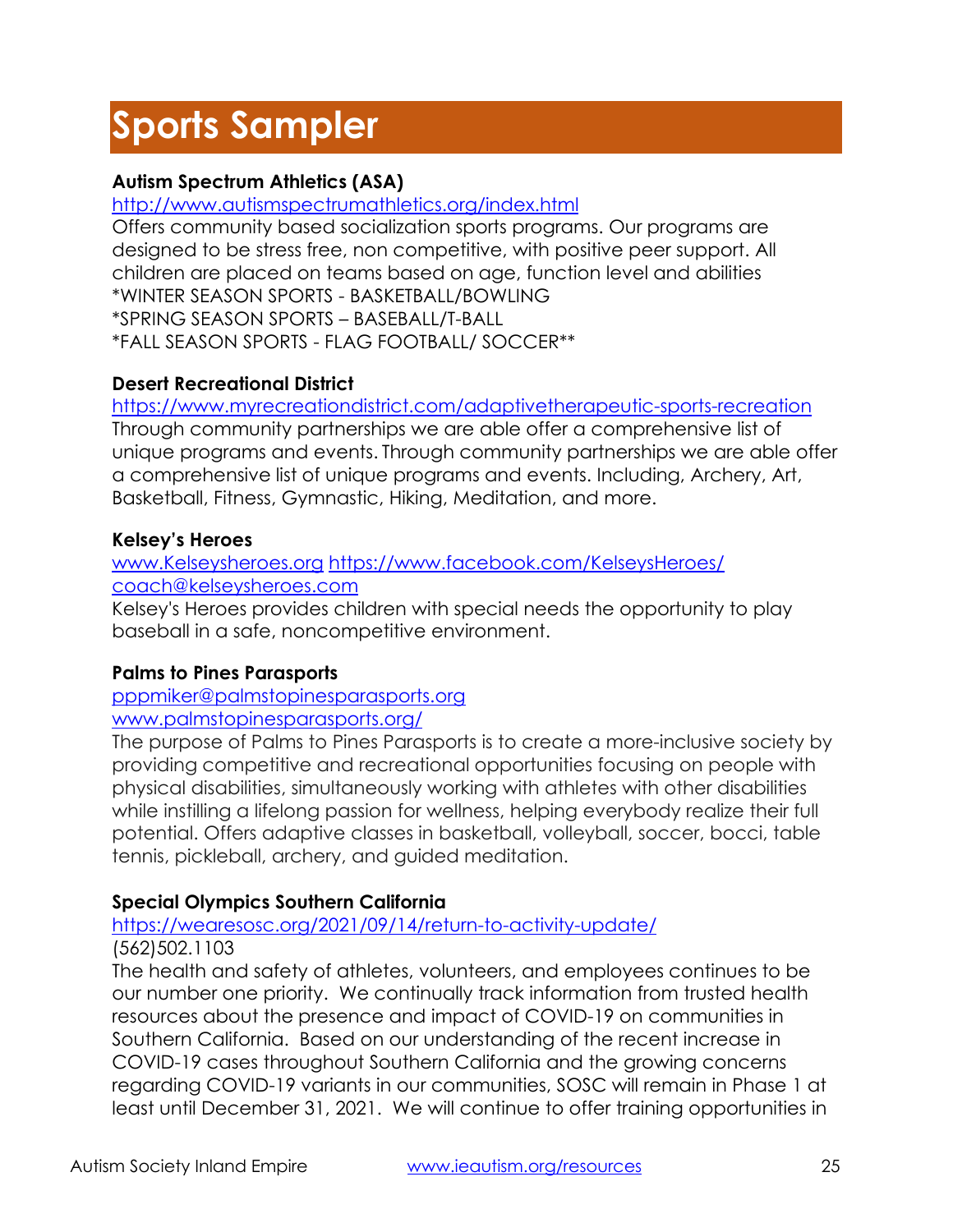# **Sports Sampler**

# **Autism Spectrum Athletics (ASA)**

<http://www.autismspectrumathletics.org/index.html>

Offers community based socialization sports programs. Our programs are designed to be stress free, non competitive, with positive peer support. All children are placed on teams based on age, function level and abilities \*WINTER SEASON SPORTS - BASKETBALL/BOWLING \*SPRING SEASON SPORTS – BASEBALL/T-BALL \*FALL SEASON SPORTS - FLAG FOOTBALL/ SOCCER\*\*

# **Desert Recreational District**

<https://www.myrecreationdistrict.com/adaptivetherapeutic-sports-recreation> Through community partnerships we are able offer a comprehensive list of unique programs and events. Through community partnerships we are able offer a comprehensive list of unique programs and events. Including, Archery, Art, Basketball, Fitness, Gymnastic, Hiking, Meditation, and more.

# **Kelsey's Heroes**

# www.Kelseysheroes.org <https://www.facebook.com/KelseysHeroes/> [coach@kelseysheroes.com](mailto:coach@kelseysheroes.com)

Kelsey's Heroes provides children with special needs the opportunity to play baseball in a safe, noncompetitive environment.

# **Palms to Pines Parasports**

[pppmiker@palmstopinesparasports.org](mailto:pppmiker@palmstopinesparasports.org) www.palmstopinesparasports.org/

The purpose of Palms to Pines Parasports is to create a more-inclusive society by providing competitive and recreational opportunities focusing on people with physical disabilities, simultaneously working with athletes with other disabilities while instilling a lifelong passion for wellness, helping everybody realize their full potential. Offers adaptive classes in basketball, volleyball, soccer, bocci, table tennis, pickleball, archery, and guided meditation.

# **Special Olympics Southern California**

# <https://wearesosc.org/2021/09/14/return-to-activity-update/>

# (562)502.1103

The health and safety of athletes, volunteers, and employees continues to be our number one priority. We continually track information from trusted health resources about the presence and impact of COVID-19 on communities in Southern California. Based on our understanding of the recent increase in COVID-19 cases throughout Southern California and the growing concerns regarding COVID-19 variants in our communities, SOSC will remain in Phase 1 at least until December 31, 2021. We will continue to offer training opportunities in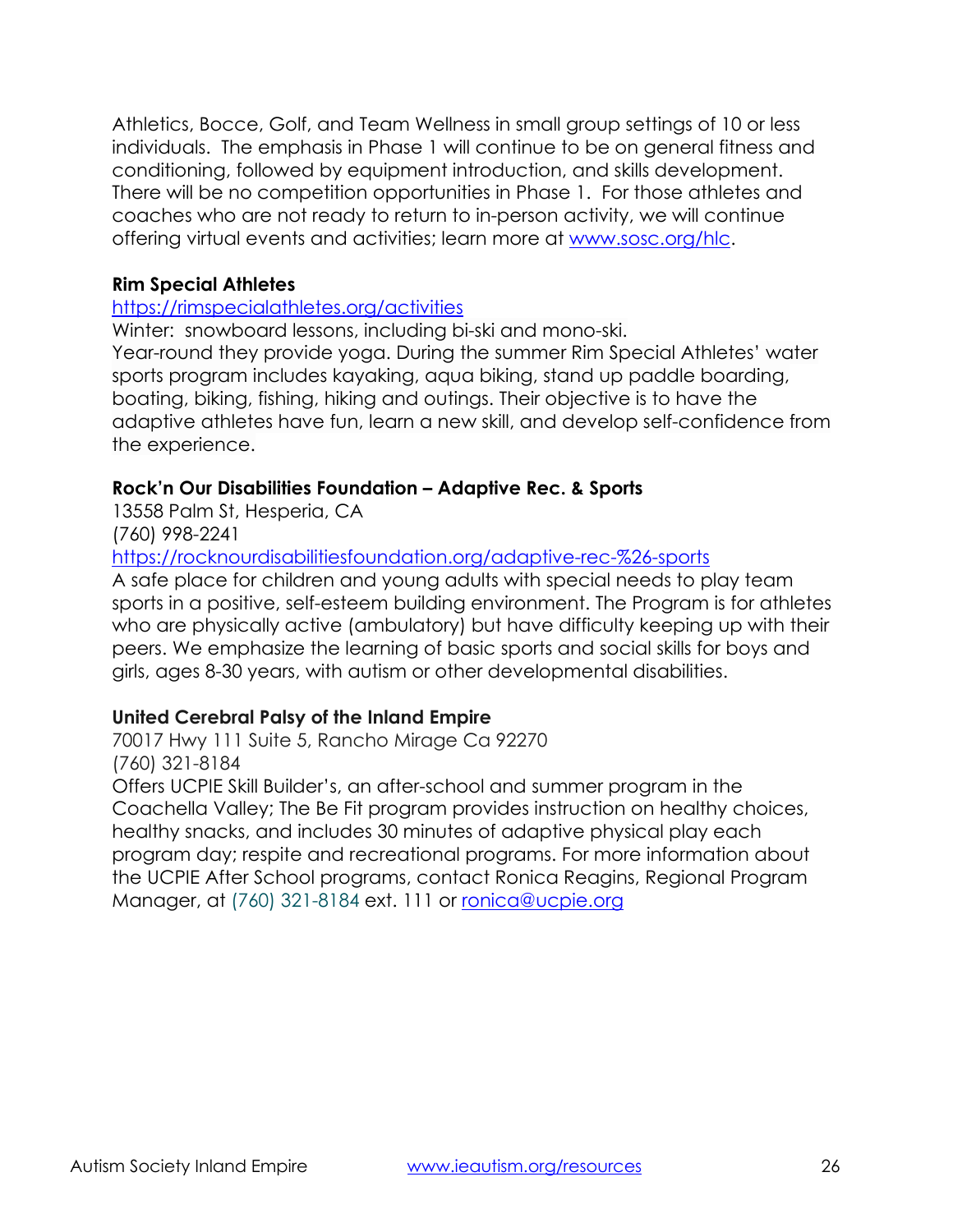Athletics, Bocce, Golf, and Team Wellness in small group settings of 10 or less individuals. The emphasis in Phase 1 will continue to be on general fitness and conditioning, followed by equipment introduction, and skills development. There will be no competition opportunities in Phase 1. For those athletes and coaches who are not ready to return to in-person activity, we will continue offering virtual events and activities; learn more at [www.sosc.org/hlc.](http://www.sosc.org/hlc)

#### **Rim Special Athletes**

#### <https://rimspecialathletes.org/activities>

Winter: snowboard lessons, including bi-ski and mono-ski.

Year-round they provide yoga. During the summer Rim Special Athletes' water sports program includes kayaking, aqua biking, stand up paddle boarding, boating, biking, fishing, hiking and outings. Their objective is to have the adaptive athletes have fun, learn a new skill, and develop self-confidence from the experience.

# **Rock'n Our Disabilities Foundation – Adaptive Rec. & Sports**

13558 Palm St, Hesperia, CA

(760) 998-2241

<https://rocknourdisabilitiesfoundation.org/adaptive-rec-%26-sports>

A safe place for children and young adults with special needs to play team sports in a positive, self-esteem building environment. The Program is for athletes who are physically active (ambulatory) but have difficulty keeping up with their peers. We emphasize the learning of basic sports and social skills for boys and girls, ages 8-30 years, with autism or other developmental disabilities.

# **United Cerebral Palsy of the Inland Empire**

70017 Hwy 111 Suite 5, Rancho Mirage Ca 92270 (760) 321-8184

Offers UCPIE Skill Builder's, an after-school and summer program in the Coachella Valley; The Be Fit program provides instruction on healthy choices, healthy snacks, and includes 30 minutes of adaptive physical play each program day; respite and recreational programs. For more information about the UCPIE After School programs, contact Ronica Reagins, Regional Program Manager, at (760) 321-8184 ext. 111 or [ronica@ucpie.org](mailto:ronica@ucpie.org)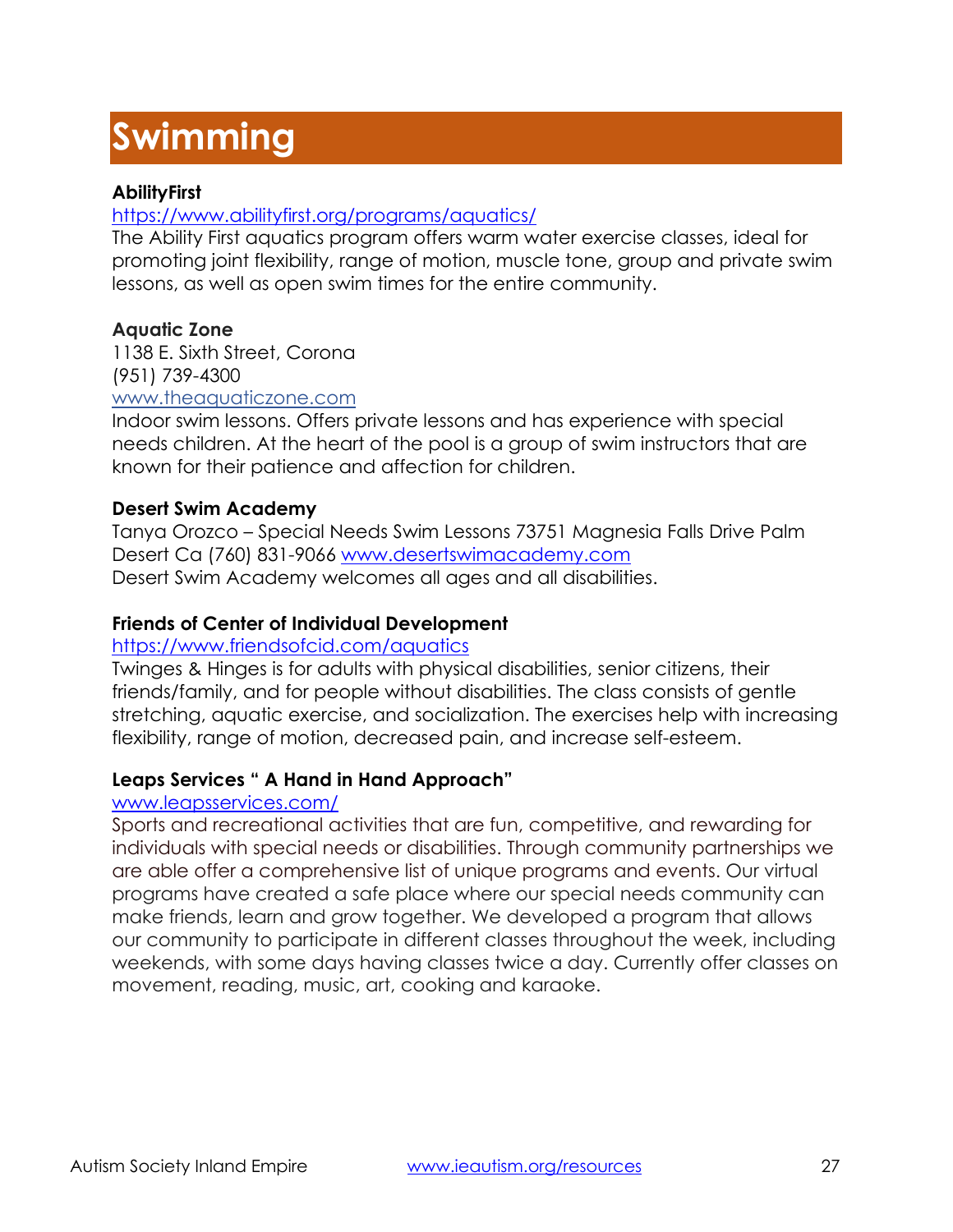# **Swimming**

# **AbilityFirst**

# <https://www.abilityfirst.org/programs/aquatics/>

The Ability First aquatics program offers warm water exercise classes, ideal for promoting joint flexibility, range of motion, muscle tone, group and private swim lessons, as well as open swim times for the entire community.

# **Aquatic Zone**

1138 E. Sixth Street, Corona (951) 739-4300 [www.theaquaticzone.com](http://www.theaquaticzone.com/)

Indoor swim lessons. Offers private lessons and has experience with special needs children. At the heart of the pool is a group of swim instructors that are known for their patience and affection for children.

# **Desert Swim Academy**

Tanya Orozco – Special Needs Swim Lessons 73751 Magnesia Falls Drive Palm Desert Ca (760) 831-9066 www.desertswimacademy.com Desert Swim Academy welcomes all ages and all disabilities.

# **Friends of Center of Individual Development**

#### <https://www.friendsofcid.com/aquatics>

Twinges & Hinges is for adults with physical disabilities, senior citizens, their friends/family, and for people without disabilities. The class consists of gentle stretching, aquatic exercise, and socialization. The exercises help with increasing flexibility, range of motion, decreased pain, and increase self-esteem.

# **Leaps Services " A Hand in Hand Approach"**

#### www.leapsservices.com/

Sports and recreational activities that are fun, competitive, and rewarding for individuals with special needs or disabilities. Through community partnerships we are able offer a comprehensive list of unique programs and events. Our virtual programs have created a safe place where our special needs community can make friends, learn and grow together. We developed a program that allows our community to participate in different classes throughout the week, including weekends, with some days having classes twice a day. Currently offer classes on movement, reading, music, art, cooking and karaoke.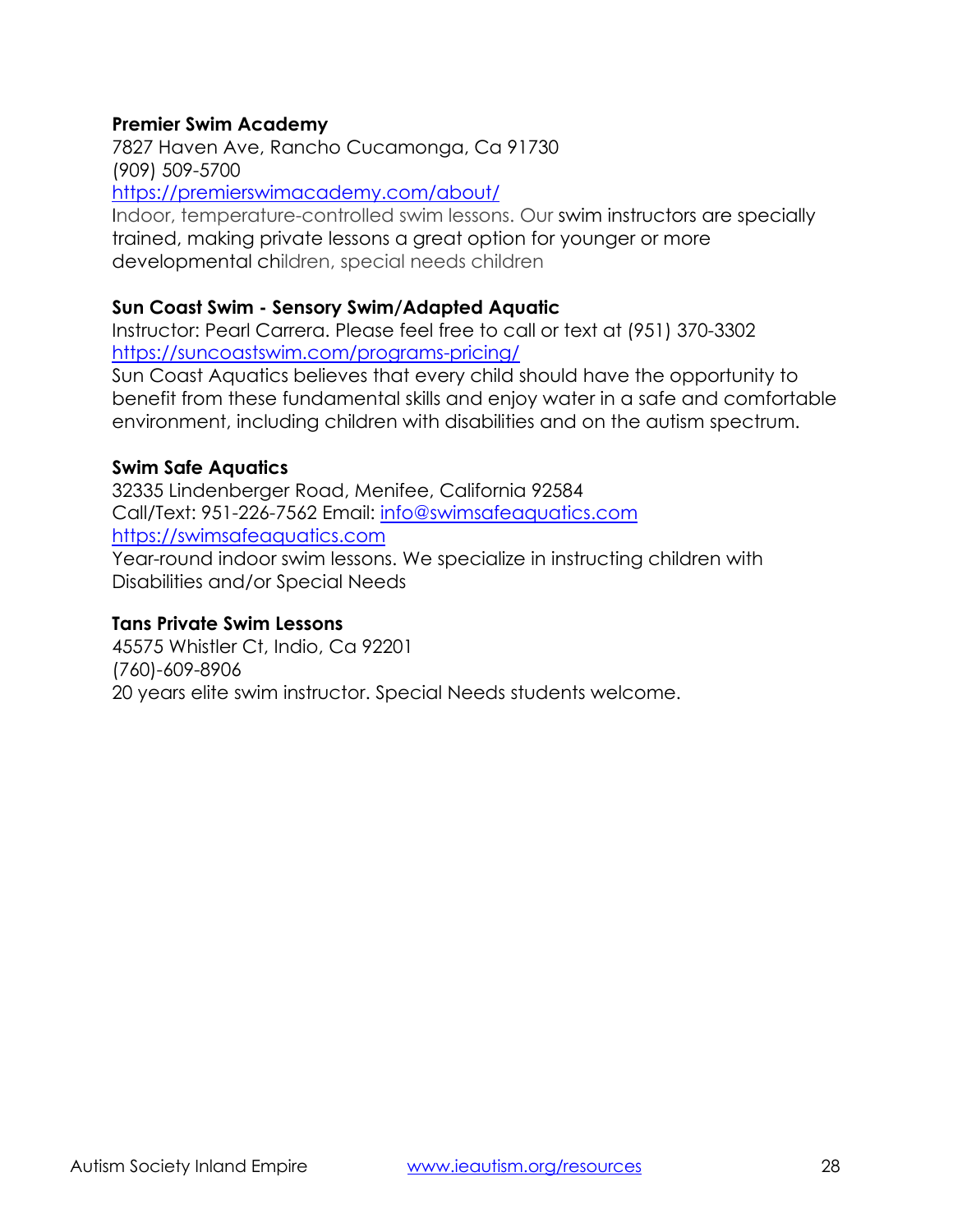#### **Premier Swim Academy**

7827 Haven Ave, Rancho Cucamonga, Ca 91730 (909) 509-5700 <https://premierswimacademy.com/about/>

Indoor, temperature-controlled swim lessons. Our [swim instructors are specially](https://premierswimacademy.com/about/psa-difference/)  [trained,](https://premierswimacademy.com/about/psa-difference/) making private lessons a great option for younger or more developmental children, special needs children

#### **Sun Coast Swim - Sensory Swim/Adapted Aquatic**

Instructor: Pearl Carrera. Please feel free to call or text at (951) 370-3302 <https://suncoastswim.com/programs-pricing/>

Sun Coast Aquatics believes that every child should have the opportunity to benefit from these fundamental skills and enjoy water in a safe and comfortable environment, including children with disabilities and on the autism spectrum.

#### **Swim Safe Aquatics**

32335 Lindenberger Road, Menifee, California 92584 Call/Text: 951-226-7562 Email: [info@swimsafeaquatics.com](mailto:info@swimsafeaquatics.com) [https://swimsafeaquatics.com](https://swimsafeaquatics.com/)

Year-round indoor swim lessons. We specialize in instructing children with Disabilities and/or Special Needs

#### **Tans Private Swim Lessons**

45575 Whistler Ct, Indio, Ca 92201 (760)-609-8906 20 years elite swim instructor. Special Needs students welcome.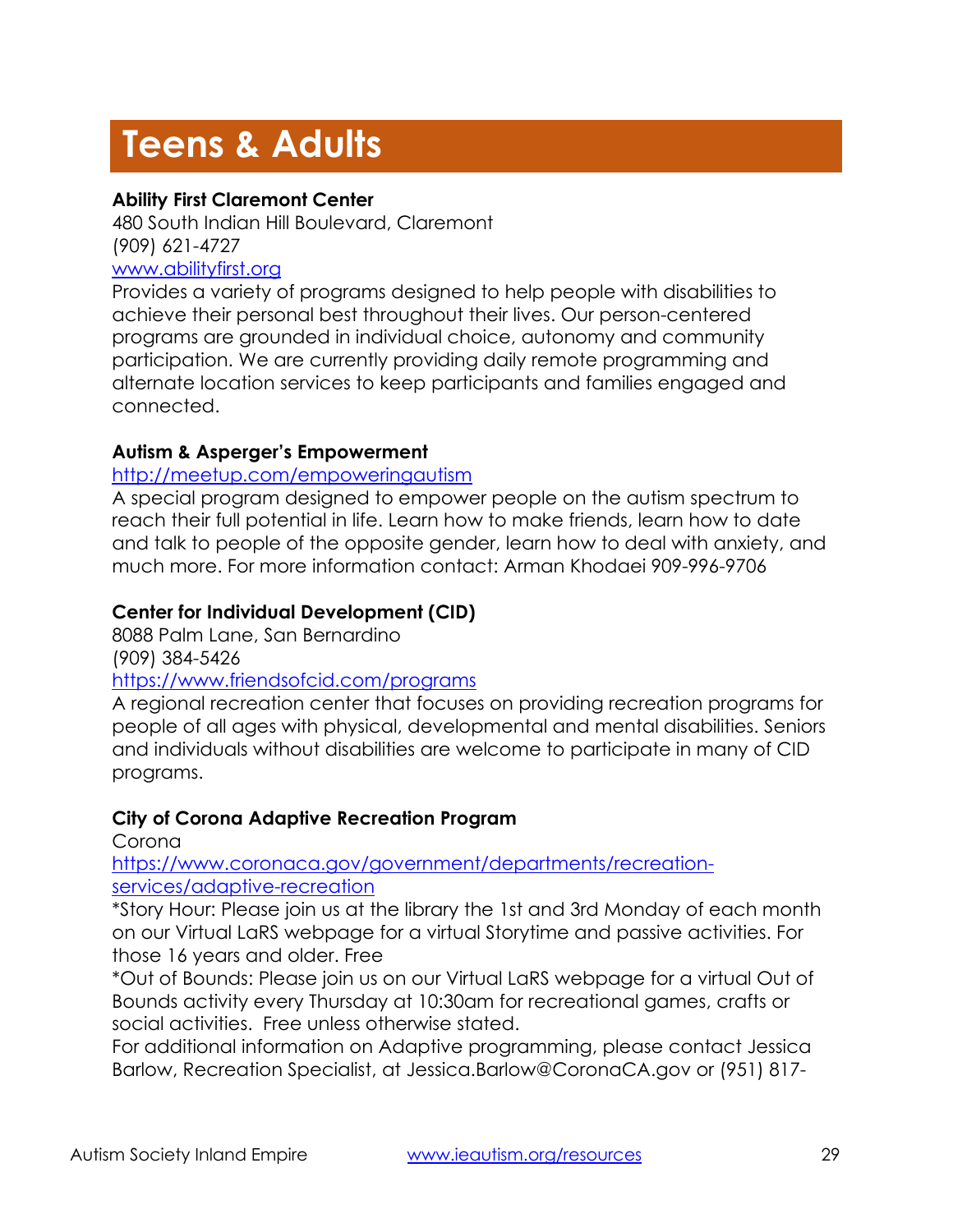# **Teens & Adults**

# **Ability First Claremont Center**

480 South Indian Hill Boulevard, Claremont (909) 621-4727 [www.abilityfirst.org](http://www.abilityfirst.org/)

Provides a variety of programs designed to help people with disabilities to achieve their personal best throughout their lives. Our person-centered programs are grounded in individual choice, autonomy and community participation. We are currently providing daily remote programming and alternate location services to keep participants and families engaged and connected.

# **Autism & Asperger's Empowerment**

# <http://meetup.com/empoweringautism>

A special program designed to empower people on the autism spectrum to reach their full potential in life. Learn how to make friends, learn how to date and talk to people of the opposite gender, learn how to deal with anxiety, and much more. For more information contact: Arman Khodaei 909-996-9706

# **Center for Individual Development (CID)**

8088 Palm Lane, San Bernardino

(909) 384-5426

#### <https://www.friendsofcid.com/programs>

A regional recreation center that focuses on providing recreation programs for people of all ages with physical, developmental and mental disabilities. Seniors and individuals without disabilities are welcome to participate in many of CID programs.

# **City of Corona Adaptive Recreation Program**

Corona

[https://www.coronaca.gov/government/departments/recreation](https://www.coronaca.gov/government/departments/recreation-services/adaptive-recreation)[services/adaptive-recreation](https://www.coronaca.gov/government/departments/recreation-services/adaptive-recreation)

\*Story Hour: Please join us at the library the 1st and 3rd Monday of each month on our Virtual LaRS webpage for a virtual Storytime and passive activities. For those 16 years and older. Free

\*Out of Bounds: Please join us on our Virtual LaRS webpage for a virtual Out of Bounds activity every Thursday at 10:30am for recreational games, crafts or social activities. Free unless otherwise stated.

For additional information on Adaptive programming, please contact Jessica Barlow, Recreation Specialist, at Jessica.Barlow@CoronaCA.gov or (951) 817-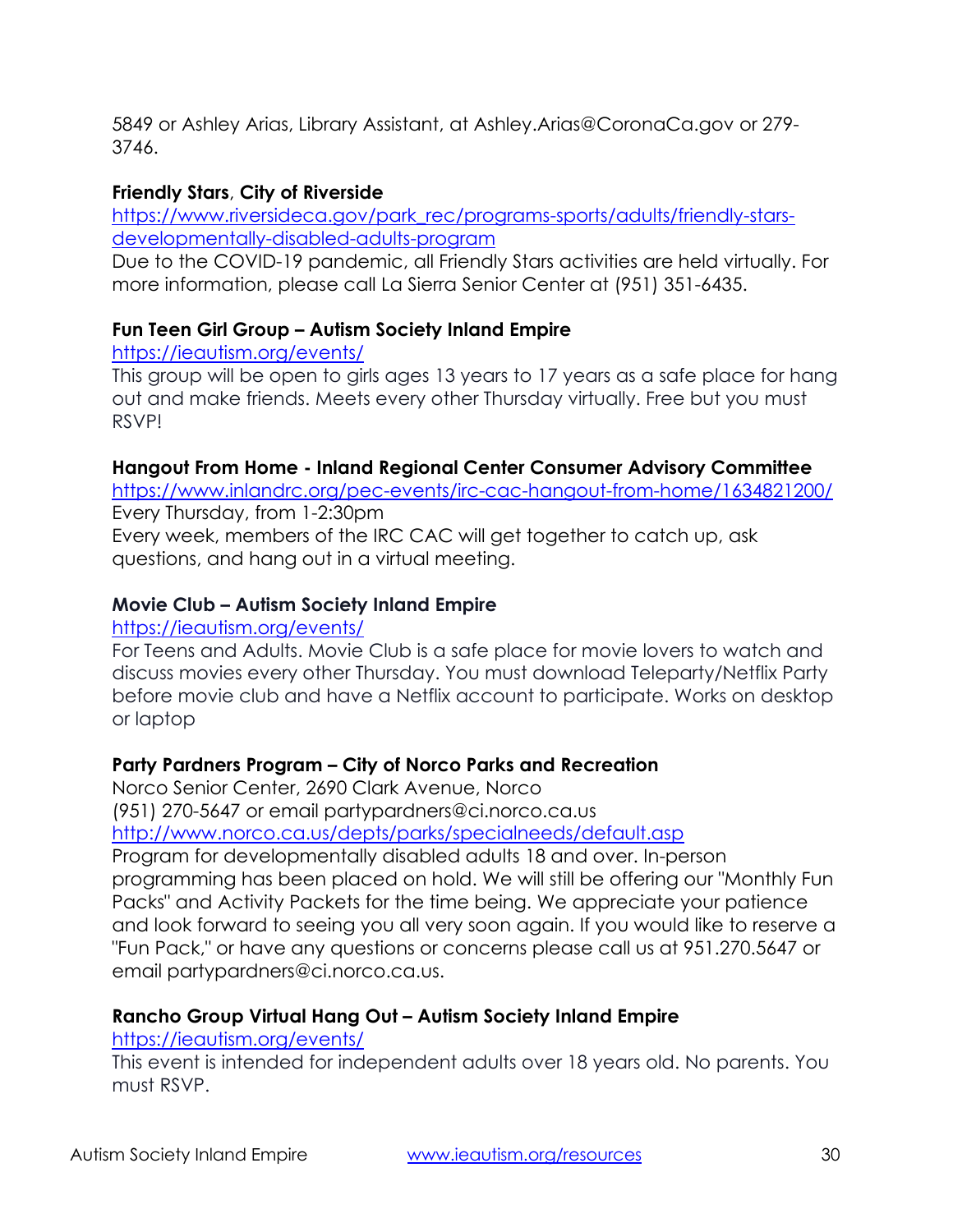5849 or Ashley Arias, Library Assistant, at Ashley.Arias@CoronaCa.gov or 279- 3746.

# **Friendly Stars**, **City of Riverside**

[https://www.riversideca.gov/park\\_rec/programs-sports/adults/friendly-stars](https://www.riversideca.gov/park_rec/programs-sports/adults/friendly-stars-developmentally-disabled-adults-program)[developmentally-disabled-adults-program](https://www.riversideca.gov/park_rec/programs-sports/adults/friendly-stars-developmentally-disabled-adults-program)

Due to the COVID-19 pandemic, all Friendly Stars activities are held virtually. For more information, please call La Sierra Senior Center at (951) 351-6435.

# **Fun Teen Girl Group – Autism Society Inland Empire**

<https://ieautism.org/events/>

This group will be open to girls ages 13 years to 17 years as a safe place for hang out and make friends. Meets every other Thursday virtually. Free but you must RSVP!

#### **Hangout From Home - Inland Regional Center Consumer Advisory Committee**

<https://www.inlandrc.org/pec-events/irc-cac-hangout-from-home/1634821200/> Every Thursday, from 1-2:30pm

Every week, members of the IRC CAC will get together to catch up, ask questions, and hang out in a virtual meeting.

# **Movie Club – Autism Society Inland Empire**

# <https://ieautism.org/events/>

For Teens and Adults. Movie Club is a safe place for movie lovers to watch and discuss movies every other Thursday. You must download Teleparty/Netflix Party before movie club and have a Netflix account to participate. Works on desktop or laptop

# **Party Pardners Program – City of Norco Parks and Recreation**

Norco Senior Center, 2690 Clark Avenue, Norco

(951) 270-5647 or email partypardners@ci.norco.ca.us

<http://www.norco.ca.us/depts/parks/specialneeds/default.asp>

Program for developmentally disabled adults 18 and over. In-person programming has been placed on hold. We will still be offering our "Monthly Fun Packs" and Activity Packets for the time being. We appreciate your patience and look forward to seeing you all very soon again. If you would like to reserve a "Fun Pack," or have any questions or concerns please call us at 951.270.5647 or email partypardners@ci.norco.ca.us.

# **Rancho Group Virtual Hang Out – Autism Society Inland Empire**

# <https://ieautism.org/events/>

This event is intended for independent adults over 18 years old. No parents. You must RSVP.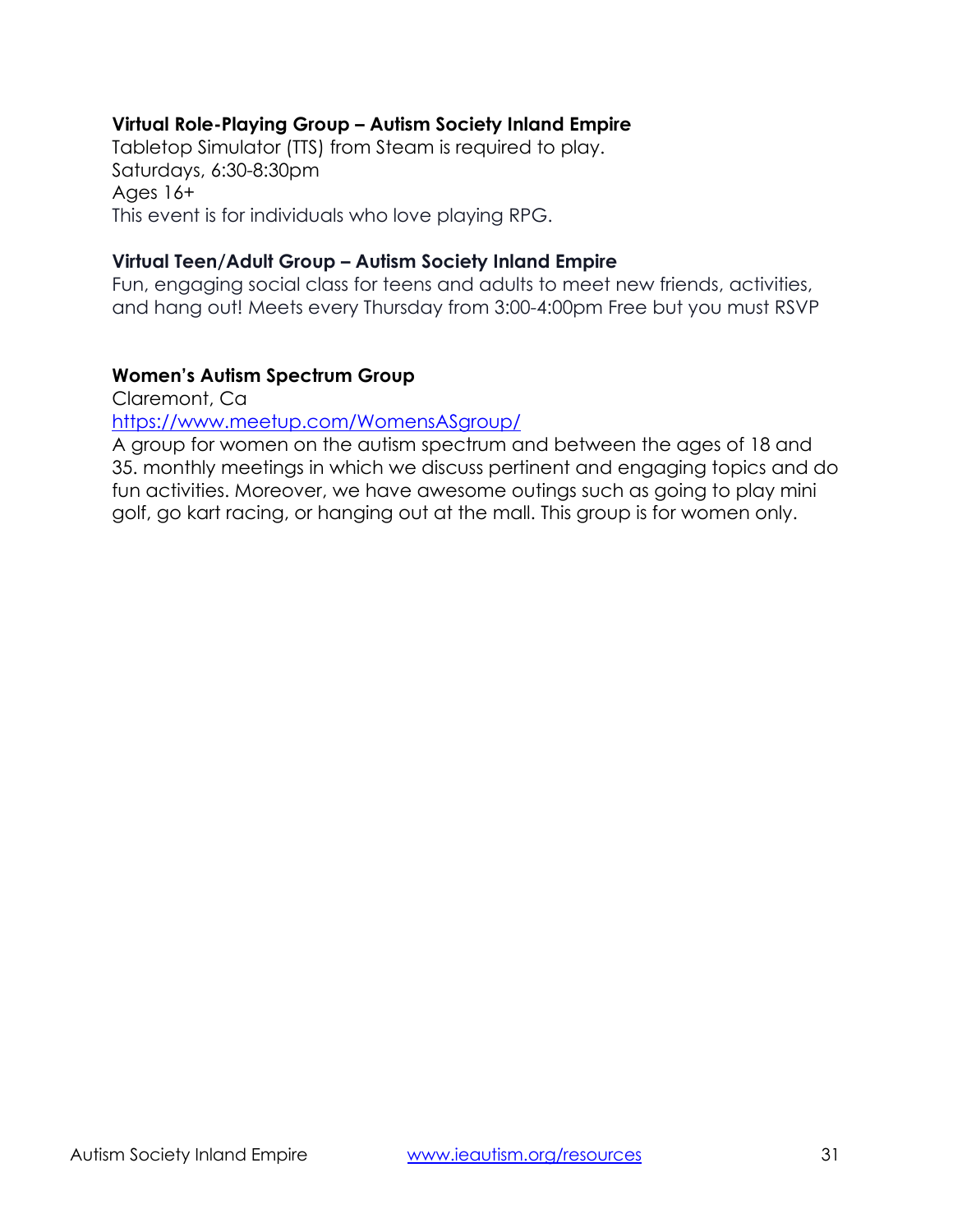# **Virtual Role-Playing Group – Autism Society Inland Empire**

Tabletop Simulator (TTS) from Steam is required to play. Saturdays, 6:30-8:30pm Ages 16+ This event is for individuals who love playing RPG.

#### **Virtual Teen/Adult Group – Autism Society Inland Empire**

Fun, engaging social class for teens and adults to meet new friends, activities, and hang out! Meets every Thursday from 3:00-4:00pm Free but you must RSVP

# **Women's Autism Spectrum Group**

Claremont, Ca

<https://www.meetup.com/WomensASgroup/>

A group for women on the autism spectrum and between the ages of 18 and 35. monthly meetings in which we discuss pertinent and engaging topics and do fun activities. Moreover, we have awesome outings such as going to play mini golf, go kart racing, or hanging out at the mall. This group is for women only.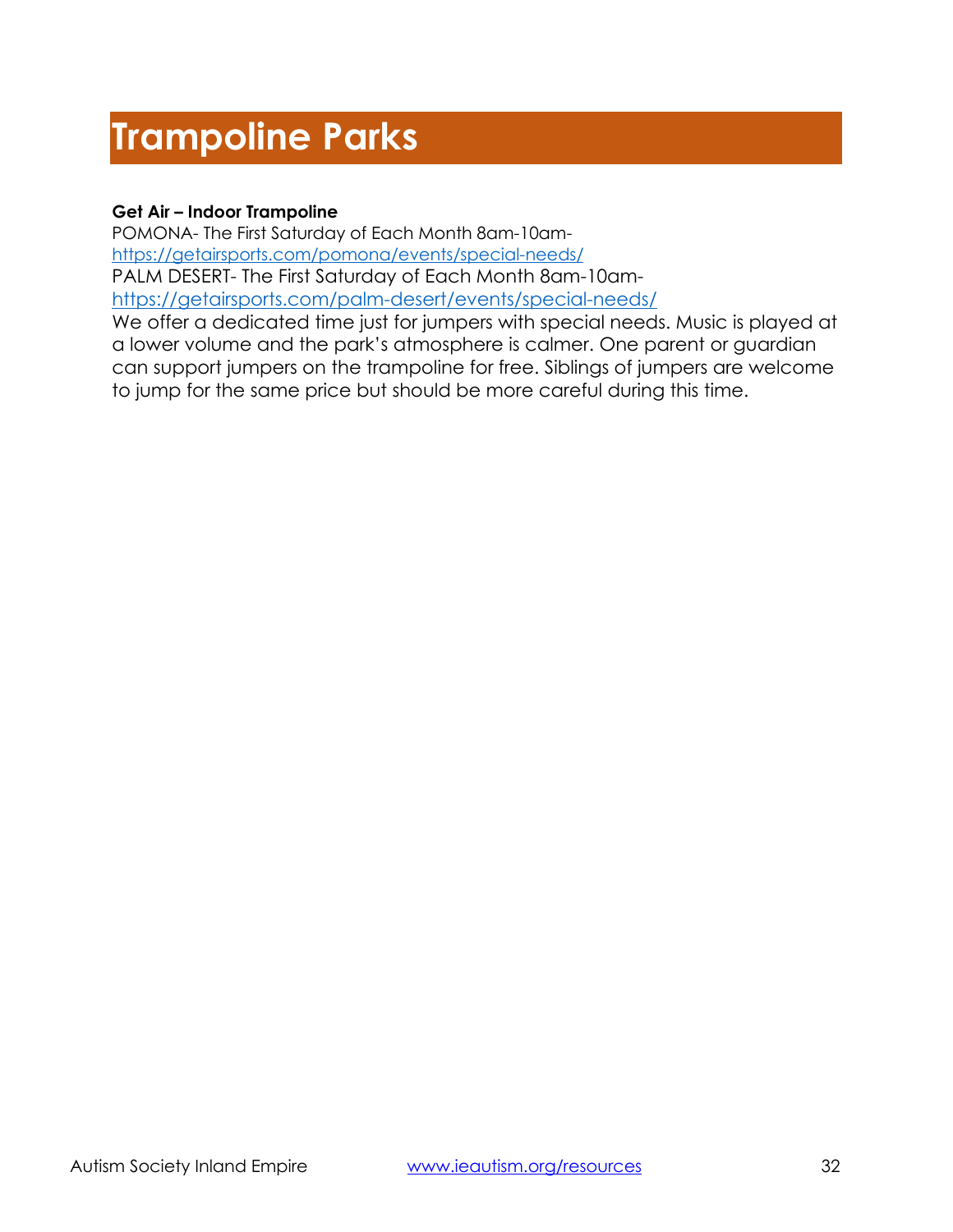# **Trampoline Parks**

#### **Get Air – Indoor Trampoline**

POMONA- The First Saturday of Each Month 8am-10am<https://getairsports.com/pomona/events/special-needs/> PALM DESERT- The First Saturday of Each Month 8am-10am<https://getairsports.com/palm-desert/events/special-needs/>

We offer a dedicated time just for jumpers with special needs. Music is played at a lower volume and the park's atmosphere is calmer. One parent or guardian can support jumpers on the trampoline for free. Siblings of jumpers are welcome to jump for the same price but should be more careful during this time.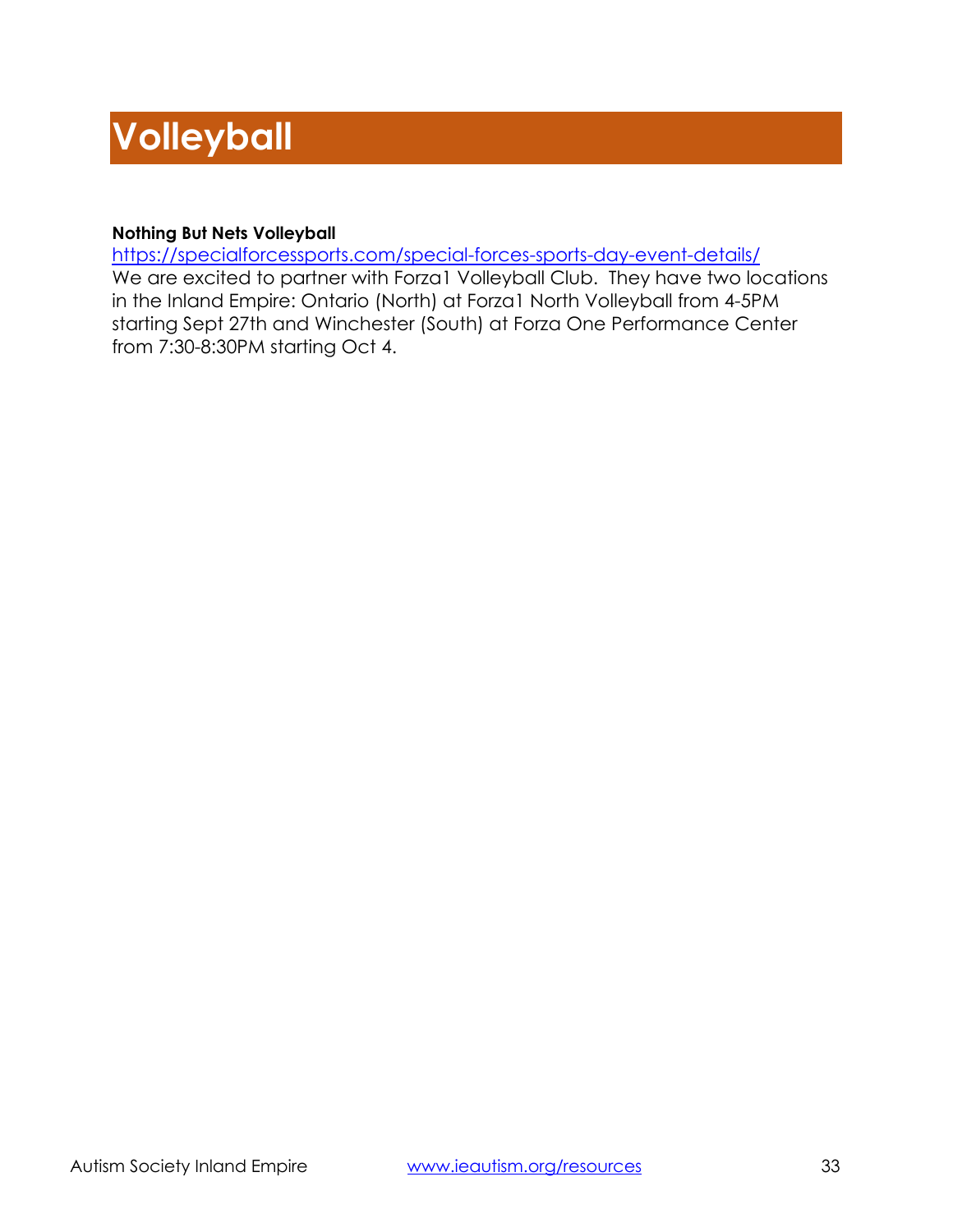# **Volleyball**

#### **Nothing But Nets Volleyball**

<https://specialforcessports.com/special-forces-sports-day-event-details/> We are excited to partner with Forza1 Volleyball Club. They have two locations in the Inland Empire: Ontario (North) at Forza1 North Volleyball from 4-5PM starting Sept 27th and Winchester (South) at Forza One Performance Center from 7:30-8:30PM starting Oct 4.